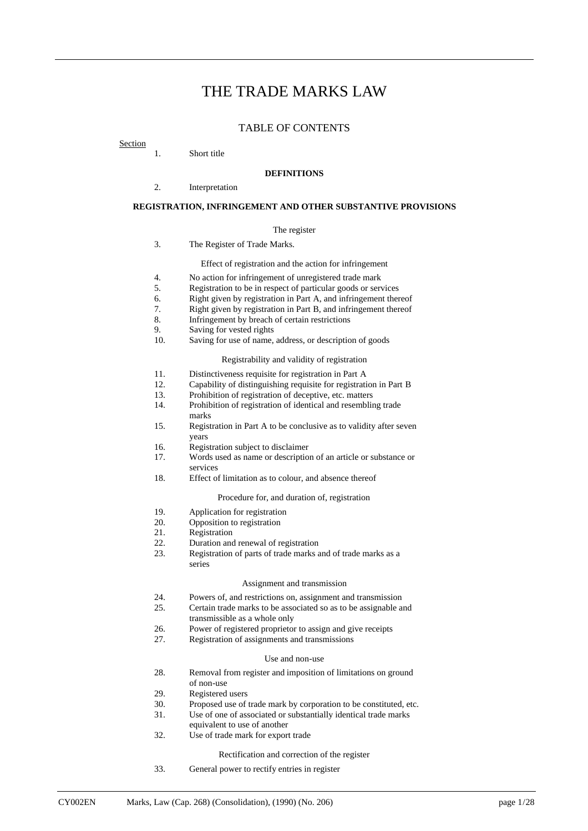# THE TRADE MARKS LAW

## TABLE OF CONTENTS

#### **Section**

#### 1 Short title

### **DEFINITIONS**

2. Interpretation

### **REGISTRATION, INFRINGEMENT AND OTHER SUBSTANTIVE PROVISIONS**

#### The register

#### Effect of registration and the action for infringement

- 4. No action for infringement of unregistered trade mark<br>5. Registration to be in respect of particular goods or server
- Registration to be in respect of particular goods or services
- 6. Right given by registration in Part A, and infringement thereof 7. Right given by registration in Part B, and infringement thereof
- 7. Right given by registration in Part B, and infringement thereof 8. Infringement by breach of certain restrictions
- Infringement by breach of certain restrictions
- 9. Saving for vested rights
- 10. Saving for use of name, address, or description of goods

#### Registrability and validity of registration

- 11. Distinctiveness requisite for registration in Part A
- 12. Capability of distinguishing requisite for registration in Part B
- 13. Prohibition of registration of deceptive, etc. matters 14. Prohibition of registration of identical and resembling
- Prohibition of registration of identical and resembling trade
- marks
- 15. Registration in Part A to be conclusive as to validity after seven years
- 16. Registration subject to disclaimer
- 17. Words used as name or description of an article or substance or services
- 18. Effect of limitation as to colour, and absence thereof

#### Procedure for, and duration of, registration

- 19. Application for registration
- 20. Opposition to registration
- 21. Registration
- 22. Duration and renewal of registration
- 23. Registration of parts of trade marks and of trade marks as a series

#### Assignment and transmission

- 24. Powers of, and restrictions on, assignment and transmission
- 25. Certain trade marks to be associated so as to be assignable and transmissible as a whole only
- 26. Power of registered proprietor to assign and give receipts
- 27. Registration of assignments and transmissions

#### Use and non-use

- 28. Removal from register and imposition of limitations on ground of non-use
- 29. Registered users
- 30. Proposed use of trade mark by corporation to be constituted, etc.
- 31. Use of one of associated or substantially identical trade marks
- equivalent to use of another
- 32. Use of trade mark for export trade

#### Rectification and correction of the register

33. General power to rectify entries in register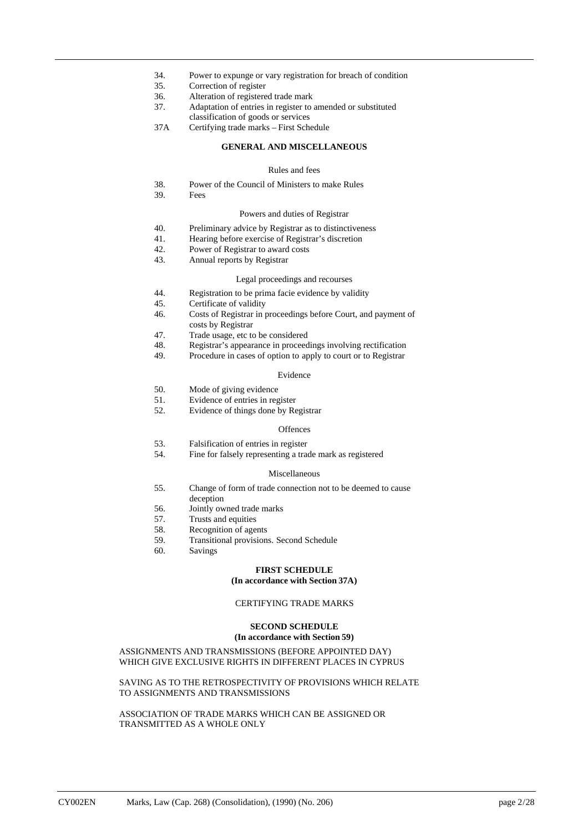- 34. Power to expunge or vary registration for breach of condition
- 35. Correction of register
- 36. Alteration of registered trade mark<br>37 Adaptation of entries in register to
- Adaptation of entries in register to amended or substituted
- classification of goods or services
- 37A Certifying trade marks First Schedule

### **GENERAL AND MISCELLANEOUS**

### Rules and fees

- 38. Power of the Council of Ministers to make Rules
- 39. Fees

#### Powers and duties of Registrar

- 40. Preliminary advice by Registrar as to distinctiveness
- 41. Hearing before exercise of Registrar's discretion
- 42. Power of Registrar to award costs
- 43. Annual reports by Registrar

#### Legal proceedings and recourses

- 44. Registration to be prima facie evidence by validity
- 45. Certificate of validity
- 46. Costs of Registrar in proceedings before Court, and payment of costs by Registrar
- 47. Trade usage, etc to be considered
- 48. Registrar's appearance in proceedings involving rectification
- 49. Procedure in cases of option to apply to court or to Registrar

#### Evidence

- 50. Mode of giving evidence<br>51. Evidence of entries in res
- Evidence of entries in register
- 52. Evidence of things done by Registrar

#### **Offences**

- 53. Falsification of entries in register
- 54. Fine for falsely representing a trade mark as registered

### Miscellaneous

- 55. Change of form of trade connection not to be deemed to cause deception
- 56. Jointly owned trade marks
- 57. Trusts and equities
- 58. Recognition of agents
- 59. Transitional provisions. Second Schedule
- 60. Savings

#### **FIRST SCHEDULE (In accordance with Section 37A)**

#### CERTIFYING TRADE MARKS

#### **SECOND SCHEDULE (In accordance with Section 59)**

ASSIGNMENTS AND TRANSMISSIONS (BEFORE APPOINTED DAY) WHICH GIVE EXCLUSIVE RIGHTS IN DIFFERENT PLACES IN CYPRUS

SAVING AS TO THE RETROSPECTIVITY OF PROVISIONS WHICH RELATE TO ASSIGNMENTS AND TRANSMISSIONS

ASSOCIATION OF TRADE MARKS WHICH CAN BE ASSIGNED OR TRANSMITTED AS A WHOLE ONLY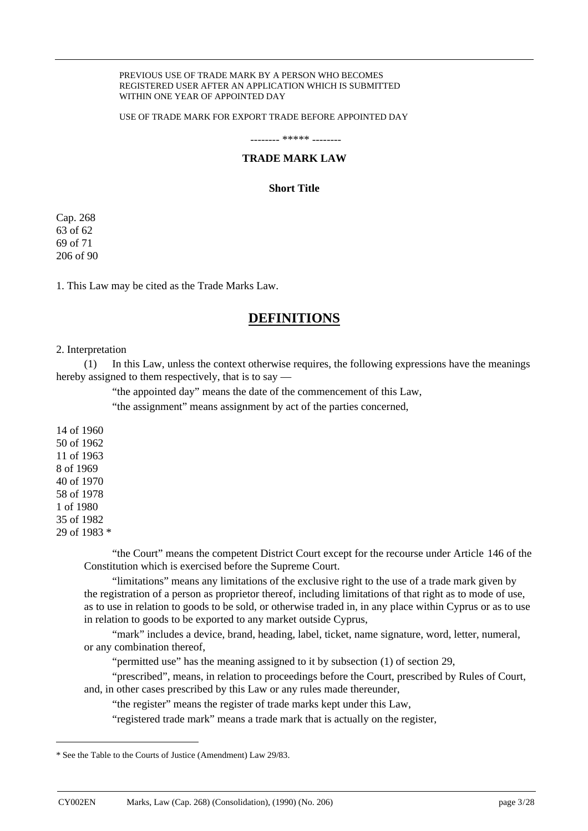### PREVIOUS USE OF TRADE MARK BY A PERSON WHO BECOMES REGISTERED USER AFTER AN APPLICATION WHICH IS SUBMITTED WITHIN ONE YEAR OF APPOINTED DAY

USE OF TRADE MARK FOR EXPORT TRADE BEFORE APPOINTED DAY

-------- \*\*\*\*\* -------

# **TRADE MARK LAW**

**Short Title** 

1. This Law may be cited as the Trade Marks Law.

# **DEFINITIONS**

### 2. Interpretation

(1) In this Law, unless the context otherwise requires, the following expressions have the meanings hereby assigned to them respectively, that is to say —

"the appointed day" means the date of the commencement of this Law,

"the assignment" means assignment by act of the parties concerned,

**.** 

"the Court" means the competent District Court except for the recourse under Article 146 of the Constitution which is exercised before the Supreme Court.

"limitations" means any limitations of the exclusive right to the use of a trade mark given by the registration of a person as proprietor thereof, including limitations of that right as to mode of use, as to use in relation to goods to be sold, or otherwise traded in, in any place within Cyprus or as to use in relation to goods to be exported to any market outside Cyprus,

"mark" includes a device, brand, heading, label, ticket, name signature, word, letter, numeral, or any combination thereof,

"permitted use" has the meaning assigned to it by subsection (1) of section 29,

"prescribed", means, in relation to proceedings before the Court, prescribed by Rules of Court, and, in other cases prescribed by this Law or any rules made thereunder,

"the register" means the register of trade marks kept under this Law,

"registered trade mark" means a trade mark that is actually on the register,

<sup>\*</sup> See the Table to the Courts of Justice (Amendment) Law 29/83.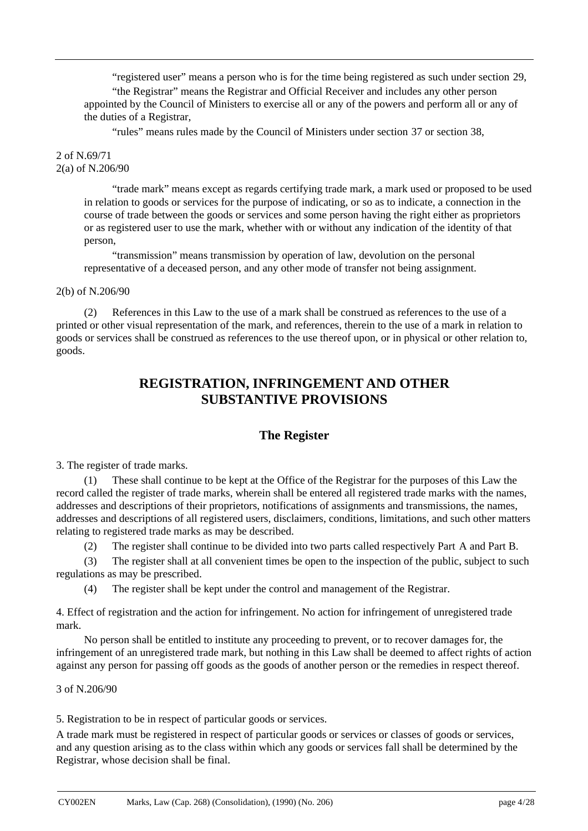"registered user" means a person who is for the time being registered as such under section 29, "the Registrar" means the Registrar and Official Receiver and includes any other person appointed by the Council of Ministers to exercise all or any of the powers and perform all or any of the duties of a Registrar,

"rules" means rules made by the Council of Ministers under section 37 or section 38,

## 2 of N.69/71 2(a) of N.206/90

"trade mark" means except as regards certifying trade mark, a mark used or proposed to be used in relation to goods or services for the purpose of indicating, or so as to indicate, a connection in the course of trade between the goods or services and some person having the right either as proprietors or as registered user to use the mark, whether with or without any indication of the identity of that person,

"transmission" means transmission by operation of law, devolution on the personal representative of a deceased person, and any other mode of transfer not being assignment.

## 2(b) of N.206/90

(2) References in this Law to the use of a mark shall be construed as references to the use of a printed or other visual representation of the mark, and references, therein to the use of a mark in relation to goods or services shall be construed as references to the use thereof upon, or in physical or other relation to, goods.

# **REGISTRATION, INFRINGEMENT AND OTHER SUBSTANTIVE PROVISIONS**

# **The Register**

3. The register of trade marks.

(1) These shall continue to be kept at the Office of the Registrar for the purposes of this Law the record called the register of trade marks, wherein shall be entered all registered trade marks with the names, addresses and descriptions of their proprietors, notifications of assignments and transmissions, the names, addresses and descriptions of all registered users, disclaimers, conditions, limitations, and such other matters relating to registered trade marks as may be described.

(2) The register shall continue to be divided into two parts called respectively Part A and Part B.

(3) The register shall at all convenient times be open to the inspection of the public, subject to such regulations as may be prescribed.

(4) The register shall be kept under the control and management of the Registrar.

4. Effect of registration and the action for infringement. No action for infringement of unregistered trade mark.

No person shall be entitled to institute any proceeding to prevent, or to recover damages for, the infringement of an unregistered trade mark, but nothing in this Law shall be deemed to affect rights of action against any person for passing off goods as the goods of another person or the remedies in respect thereof.

## 3 of N.206/90

5. Registration to be in respect of particular goods or services.

A trade mark must be registered in respect of particular goods or services or classes of goods or services, and any question arising as to the class within which any goods or services fall shall be determined by the Registrar, whose decision shall be final.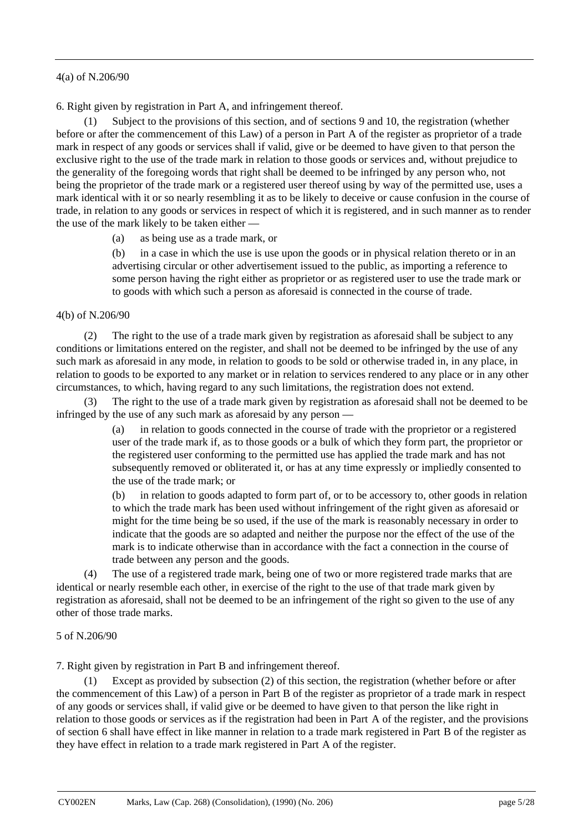### 4(a) of N.206/90

6. Right given by registration in Part A, and infringement thereof.

Subject to the provisions of this section, and of sections 9 and 10, the registration (whether before or after the commencement of this Law) of a person in Part A of the register as proprietor of a trade mark in respect of any goods or services shall if valid, give or be deemed to have given to that person the exclusive right to the use of the trade mark in relation to those goods or services and, without prejudice to the generality of the foregoing words that right shall be deemed to be infringed by any person who, not being the proprietor of the trade mark or a registered user thereof using by way of the permitted use, uses a mark identical with it or so nearly resembling it as to be likely to deceive or cause confusion in the course of trade, in relation to any goods or services in respect of which it is registered, and in such manner as to render the use of the mark likely to be taken either —

(a) as being use as a trade mark, or

(b) in a case in which the use is use upon the goods or in physical relation thereto or in an advertising circular or other advertisement issued to the public, as importing a reference to some person having the right either as proprietor or as registered user to use the trade mark or to goods with which such a person as aforesaid is connected in the course of trade.

## 4(b) of N.206/90

(2) The right to the use of a trade mark given by registration as aforesaid shall be subject to any conditions or limitations entered on the register, and shall not be deemed to be infringed by the use of any such mark as aforesaid in any mode, in relation to goods to be sold or otherwise traded in, in any place, in relation to goods to be exported to any market or in relation to services rendered to any place or in any other circumstances, to which, having regard to any such limitations, the registration does not extend.

(3) The right to the use of a trade mark given by registration as aforesaid shall not be deemed to be infringed by the use of any such mark as aforesaid by any person —

> (a) in relation to goods connected in the course of trade with the proprietor or a registered user of the trade mark if, as to those goods or a bulk of which they form part, the proprietor or the registered user conforming to the permitted use has applied the trade mark and has not subsequently removed or obliterated it, or has at any time expressly or impliedly consented to the use of the trade mark; or

(b) in relation to goods adapted to form part of, or to be accessory to, other goods in relation to which the trade mark has been used without infringement of the right given as aforesaid or might for the time being be so used, if the use of the mark is reasonably necessary in order to indicate that the goods are so adapted and neither the purpose nor the effect of the use of the mark is to indicate otherwise than in accordance with the fact a connection in the course of trade between any person and the goods.

(4) The use of a registered trade mark, being one of two or more registered trade marks that are identical or nearly resemble each other, in exercise of the right to the use of that trade mark given by registration as aforesaid, shall not be deemed to be an infringement of the right so given to the use of any other of those trade marks.

## 5 of N.206/90

7. Right given by registration in Part B and infringement thereof.

(1) Except as provided by subsection (2) of this section, the registration (whether before or after the commencement of this Law) of a person in Part B of the register as proprietor of a trade mark in respect of any goods or services shall, if valid give or be deemed to have given to that person the like right in relation to those goods or services as if the registration had been in Part A of the register, and the provisions of section 6 shall have effect in like manner in relation to a trade mark registered in Part B of the register as they have effect in relation to a trade mark registered in Part A of the register.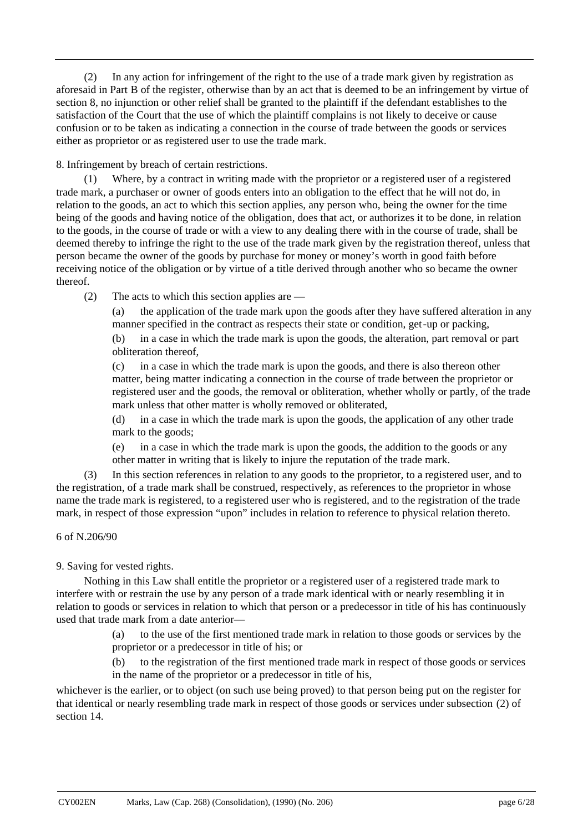(2) In any action for infringement of the right to the use of a trade mark given by registration as aforesaid in Part B of the register, otherwise than by an act that is deemed to be an infringement by virtue of section 8, no injunction or other relief shall be granted to the plaintiff if the defendant establishes to the satisfaction of the Court that the use of which the plaintiff complains is not likely to deceive or cause confusion or to be taken as indicating a connection in the course of trade between the goods or services either as proprietor or as registered user to use the trade mark.

8. Infringement by breach of certain restrictions.

(1) Where, by a contract in writing made with the proprietor or a registered user of a registered trade mark, a purchaser or owner of goods enters into an obligation to the effect that he will not do, in relation to the goods, an act to which this section applies, any person who, being the owner for the time being of the goods and having notice of the obligation, does that act, or authorizes it to be done, in relation to the goods, in the course of trade or with a view to any dealing there with in the course of trade, shall be deemed thereby to infringe the right to the use of the trade mark given by the registration thereof, unless that person became the owner of the goods by purchase for money or money's worth in good faith before receiving notice of the obligation or by virtue of a title derived through another who so became the owner thereof.

(2) The acts to which this section applies are —

(a) the application of the trade mark upon the goods after they have suffered alteration in any manner specified in the contract as respects their state or condition, get-up or packing,

(b) in a case in which the trade mark is upon the goods, the alteration, part removal or part obliteration thereof,

(c) in a case in which the trade mark is upon the goods, and there is also thereon other matter, being matter indicating a connection in the course of trade between the proprietor or registered user and the goods, the removal or obliteration, whether wholly or partly, of the trade mark unless that other matter is wholly removed or obliterated,

(d) in a case in which the trade mark is upon the goods, the application of any other trade mark to the goods;

(e) in a case in which the trade mark is upon the goods, the addition to the goods or any other matter in writing that is likely to injure the reputation of the trade mark.

(3) In this section references in relation to any goods to the proprietor, to a registered user, and to the registration, of a trade mark shall be construed, respectively, as references to the proprietor in whose name the trade mark is registered, to a registered user who is registered, and to the registration of the trade mark, in respect of those expression "upon" includes in relation to reference to physical relation thereto.

# 6 of N.206/90

9. Saving for vested rights.

Nothing in this Law shall entitle the proprietor or a registered user of a registered trade mark to interfere with or restrain the use by any person of a trade mark identical with or nearly resembling it in relation to goods or services in relation to which that person or a predecessor in title of his has continuously used that trade mark from a date anterior—

> (a) to the use of the first mentioned trade mark in relation to those goods or services by the proprietor or a predecessor in title of his; or

> (b) to the registration of the first mentioned trade mark in respect of those goods or services in the name of the proprietor or a predecessor in title of his,

whichever is the earlier, or to object (on such use being proved) to that person being put on the register for that identical or nearly resembling trade mark in respect of those goods or services under subsection (2) of section 14.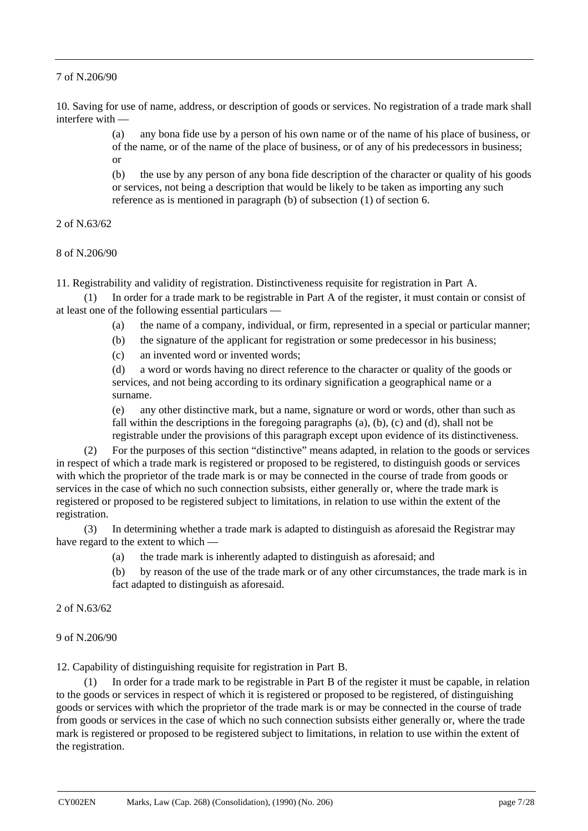## 7 of N.206/90

10. Saving for use of name, address, or description of goods or services. No registration of a trade mark shall interfere with —

> (a) any bona fide use by a person of his own name or of the name of his place of business, or of the name, or of the name of the place of business, or of any of his predecessors in business; or

> (b) the use by any person of any bona fide description of the character or quality of his goods or services, not being a description that would be likely to be taken as importing any such reference as is mentioned in paragraph (b) of subsection (1) of section 6.

## 2 of N.63/62

## 8 of N.206/90

11. Registrability and validity of registration. Distinctiveness requisite for registration in Part A.

(1) In order for a trade mark to be registrable in Part A of the register, it must contain or consist of at least one of the following essential particulars —

- (a) the name of a company, individual, or firm, represented in a special or particular manner;
- (b) the signature of the applicant for registration or some predecessor in his business;
- (c) an invented word or invented words;

(d) a word or words having no direct reference to the character or quality of the goods or services, and not being according to its ordinary signification a geographical name or a surname.

(e) any other distinctive mark, but a name, signature or word or words, other than such as fall within the descriptions in the foregoing paragraphs (a), (b), (c) and (d), shall not be registrable under the provisions of this paragraph except upon evidence of its distinctiveness.

(2) For the purposes of this section "distinctive" means adapted, in relation to the goods or services in respect of which a trade mark is registered or proposed to be registered, to distinguish goods or services with which the proprietor of the trade mark is or may be connected in the course of trade from goods or services in the case of which no such connection subsists, either generally or, where the trade mark is registered or proposed to be registered subject to limitations, in relation to use within the extent of the registration.

(3) In determining whether a trade mark is adapted to distinguish as aforesaid the Registrar may have regard to the extent to which -

(a) the trade mark is inherently adapted to distinguish as aforesaid; and

(b) by reason of the use of the trade mark or of any other circumstances, the trade mark is in fact adapted to distinguish as aforesaid.

2 of N.63/62

## 9 of N.206/90

12. Capability of distinguishing requisite for registration in Part B.

(1) In order for a trade mark to be registrable in Part B of the register it must be capable, in relation to the goods or services in respect of which it is registered or proposed to be registered, of distinguishing goods or services with which the proprietor of the trade mark is or may be connected in the course of trade from goods or services in the case of which no such connection subsists either generally or, where the trade mark is registered or proposed to be registered subject to limitations, in relation to use within the extent of the registration.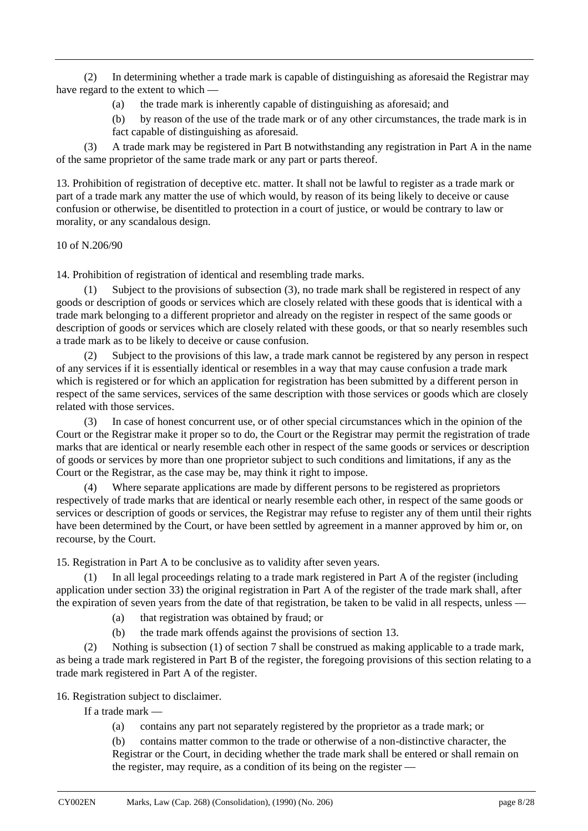(2) In determining whether a trade mark is capable of distinguishing as aforesaid the Registrar may have regard to the extent to which —

(a) the trade mark is inherently capable of distinguishing as aforesaid; and

(b) by reason of the use of the trade mark or of any other circumstances, the trade mark is in fact capable of distinguishing as aforesaid.

(3) A trade mark may be registered in Part B notwithstanding any registration in Part A in the name of the same proprietor of the same trade mark or any part or parts thereof.

13. Prohibition of registration of deceptive etc. matter. It shall not be lawful to register as a trade mark or part of a trade mark any matter the use of which would, by reason of its being likely to deceive or cause confusion or otherwise, be disentitled to protection in a court of justice, or would be contrary to law or morality, or any scandalous design.

## 10 of N.206/90

14. Prohibition of registration of identical and resembling trade marks.

(1) Subject to the provisions of subsection (3), no trade mark shall be registered in respect of any goods or description of goods or services which are closely related with these goods that is identical with a trade mark belonging to a different proprietor and already on the register in respect of the same goods or description of goods or services which are closely related with these goods, or that so nearly resembles such a trade mark as to be likely to deceive or cause confusion.

(2) Subject to the provisions of this law, a trade mark cannot be registered by any person in respect of any services if it is essentially identical or resembles in a way that may cause confusion a trade mark which is registered or for which an application for registration has been submitted by a different person in respect of the same services, services of the same description with those services or goods which are closely related with those services.

(3) In case of honest concurrent use, or of other special circumstances which in the opinion of the Court or the Registrar make it proper so to do, the Court or the Registrar may permit the registration of trade marks that are identical or nearly resemble each other in respect of the same goods or services or description of goods or services by more than one proprietor subject to such conditions and limitations, if any as the Court or the Registrar, as the case may be, may think it right to impose.

(4) Where separate applications are made by different persons to be registered as proprietors respectively of trade marks that are identical or nearly resemble each other, in respect of the same goods or services or description of goods or services, the Registrar may refuse to register any of them until their rights have been determined by the Court, or have been settled by agreement in a manner approved by him or, on recourse, by the Court.

15. Registration in Part A to be conclusive as to validity after seven years.

(1) In all legal proceedings relating to a trade mark registered in Part A of the register (including application under section 33) the original registration in Part A of the register of the trade mark shall, after the expiration of seven years from the date of that registration, be taken to be valid in all respects, unless —

- (a) that registration was obtained by fraud; or
- (b) the trade mark offends against the provisions of section 13.

(2) Nothing is subsection (1) of section 7 shall be construed as making applicable to a trade mark, as being a trade mark registered in Part B of the register, the foregoing provisions of this section relating to a trade mark registered in Part A of the register.

## 16. Registration subject to disclaimer.

If a trade mark —

(a) contains any part not separately registered by the proprietor as a trade mark; or

(b) contains matter common to the trade or otherwise of a non-distinctive character, the Registrar or the Court, in deciding whether the trade mark shall be entered or shall remain on the register, may require, as a condition of its being on the register —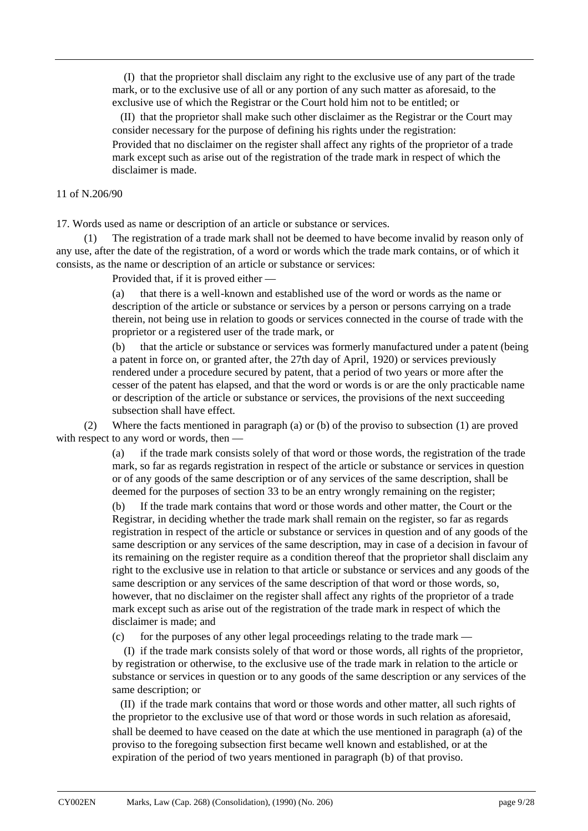(I) that the proprietor shall disclaim any right to the exclusive use of any part of the trade mark, or to the exclusive use of all or any portion of any such matter as aforesaid, to the exclusive use of which the Registrar or the Court hold him not to be entitled; or

(II) that the proprietor shall make such other disclaimer as the Registrar or the Court may consider necessary for the purpose of defining his rights under the registration:

Provided that no disclaimer on the register shall affect any rights of the proprietor of a trade mark except such as arise out of the registration of the trade mark in respect of which the disclaimer is made.

## 11 of N.206/90

17. Words used as name or description of an article or substance or services.

The registration of a trade mark shall not be deemed to have become invalid by reason only of any use, after the date of the registration, of a word or words which the trade mark contains, or of which it consists, as the name or description of an article or substance or services:

Provided that, if it is proved either —

(a) that there is a well-known and established use of the word or words as the name or description of the article or substance or services by a person or persons carrying on a trade therein, not being use in relation to goods or services connected in the course of trade with the proprietor or a registered user of the trade mark, or

(b) that the article or substance or services was formerly manufactured under a patent (being a patent in force on, or granted after, the 27th day of April, 1920) or services previously rendered under a procedure secured by patent, that a period of two years or more after the cesser of the patent has elapsed, and that the word or words is or are the only practicable name or description of the article or substance or services, the provisions of the next succeeding subsection shall have effect.

(2) Where the facts mentioned in paragraph (a) or (b) of the proviso to subsection (1) are proved with respect to any word or words, then  $-$ 

> (a) if the trade mark consists solely of that word or those words, the registration of the trade mark, so far as regards registration in respect of the article or substance or services in question or of any goods of the same description or of any services of the same description, shall be deemed for the purposes of section 33 to be an entry wrongly remaining on the register;

> (b) If the trade mark contains that word or those words and other matter, the Court or the Registrar, in deciding whether the trade mark shall remain on the register, so far as regards registration in respect of the article or substance or services in question and of any goods of the same description or any services of the same description, may in case of a decision in favour of its remaining on the register require as a condition thereof that the proprietor shall disclaim any right to the exclusive use in relation to that article or substance or services and any goods of the same description or any services of the same description of that word or those words, so, however, that no disclaimer on the register shall affect any rights of the proprietor of a trade mark except such as arise out of the registration of the trade mark in respect of which the disclaimer is made; and

(c) for the purposes of any other legal proceedings relating to the trade mark —

(I) if the trade mark consists solely of that word or those words, all rights of the proprietor, by registration or otherwise, to the exclusive use of the trade mark in relation to the article or substance or services in question or to any goods of the same description or any services of the same description; or

(II) if the trade mark contains that word or those words and other matter, all such rights of the proprietor to the exclusive use of that word or those words in such relation as aforesaid, shall be deemed to have ceased on the date at which the use mentioned in paragraph (a) of the proviso to the foregoing subsection first became well known and established, or at the expiration of the period of two years mentioned in paragraph (b) of that proviso.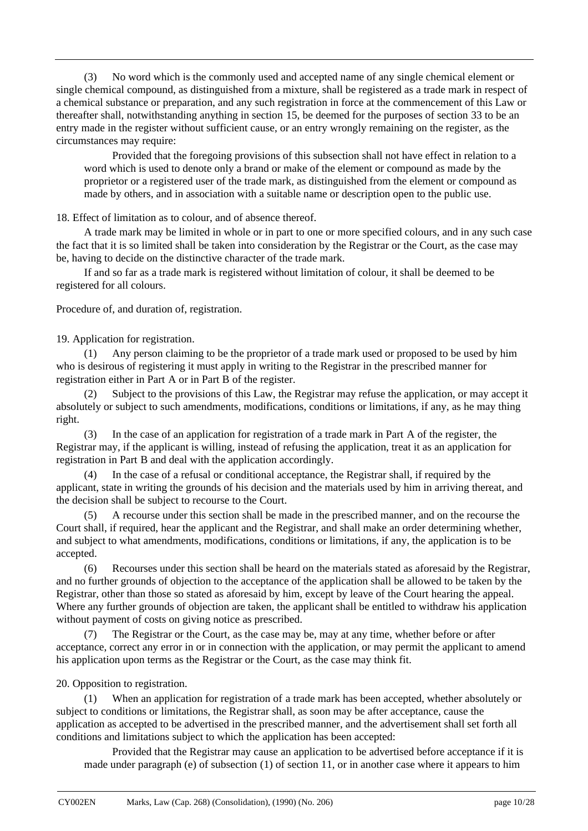(3) No word which is the commonly used and accepted name of any single chemical element or single chemical compound, as distinguished from a mixture, shall be registered as a trade mark in respect of a chemical substance or preparation, and any such registration in force at the commencement of this Law or thereafter shall, notwithstanding anything in section 15, be deemed for the purposes of section 33 to be an entry made in the register without sufficient cause, or an entry wrongly remaining on the register, as the circumstances may require:

Provided that the foregoing provisions of this subsection shall not have effect in relation to a word which is used to denote only a brand or make of the element or compound as made by the proprietor or a registered user of the trade mark, as distinguished from the element or compound as made by others, and in association with a suitable name or description open to the public use.

18. Effect of limitation as to colour, and of absence thereof.

A trade mark may be limited in whole or in part to one or more specified colours, and in any such case the fact that it is so limited shall be taken into consideration by the Registrar or the Court, as the case may be, having to decide on the distinctive character of the trade mark.

If and so far as a trade mark is registered without limitation of colour, it shall be deemed to be registered for all colours.

Procedure of, and duration of, registration.

19. Application for registration.

(1) Any person claiming to be the proprietor of a trade mark used or proposed to be used by him who is desirous of registering it must apply in writing to the Registrar in the prescribed manner for registration either in Part A or in Part B of the register.

(2) Subject to the provisions of this Law, the Registrar may refuse the application, or may accept it absolutely or subject to such amendments, modifications, conditions or limitations, if any, as he may thing right.

(3) In the case of an application for registration of a trade mark in Part A of the register, the Registrar may, if the applicant is willing, instead of refusing the application, treat it as an application for registration in Part B and deal with the application accordingly.

(4) In the case of a refusal or conditional acceptance, the Registrar shall, if required by the applicant, state in writing the grounds of his decision and the materials used by him in arriving thereat, and the decision shall be subject to recourse to the Court.

(5) A recourse under this section shall be made in the prescribed manner, and on the recourse the Court shall, if required, hear the applicant and the Registrar, and shall make an order determining whether, and subject to what amendments, modifications, conditions or limitations, if any, the application is to be accepted.

(6) Recourses under this section shall be heard on the materials stated as aforesaid by the Registrar, and no further grounds of objection to the acceptance of the application shall be allowed to be taken by the Registrar, other than those so stated as aforesaid by him, except by leave of the Court hearing the appeal. Where any further grounds of objection are taken, the applicant shall be entitled to withdraw his application without payment of costs on giving notice as prescribed.

(7) The Registrar or the Court, as the case may be, may at any time, whether before or after acceptance, correct any error in or in connection with the application, or may permit the applicant to amend his application upon terms as the Registrar or the Court, as the case may think fit.

20. Opposition to registration.

(1) When an application for registration of a trade mark has been accepted, whether absolutely or subject to conditions or limitations, the Registrar shall, as soon may be after acceptance, cause the application as accepted to be advertised in the prescribed manner, and the advertisement shall set forth all conditions and limitations subject to which the application has been accepted:

Provided that the Registrar may cause an application to be advertised before acceptance if it is made under paragraph (e) of subsection (1) of section 11, or in another case where it appears to him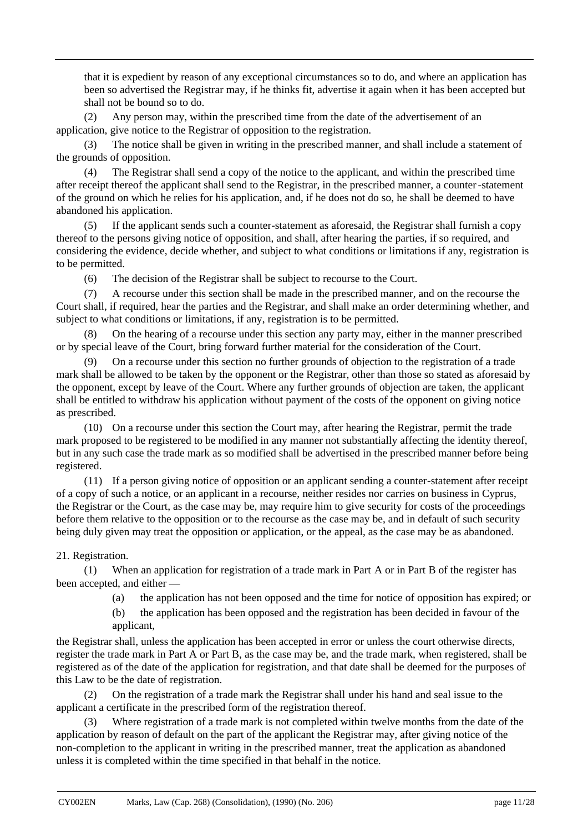that it is expedient by reason of any exceptional circumstances so to do, and where an application has been so advertised the Registrar may, if he thinks fit, advertise it again when it has been accepted but shall not be bound so to do.

(2) Any person may, within the prescribed time from the date of the advertisement of an application, give notice to the Registrar of opposition to the registration.

(3) The notice shall be given in writing in the prescribed manner, and shall include a statement of the grounds of opposition.

(4) The Registrar shall send a copy of the notice to the applicant, and within the prescribed time after receipt thereof the applicant shall send to the Registrar, in the prescribed manner, a counter -statement of the ground on which he relies for his application, and, if he does not do so, he shall be deemed to have abandoned his application.

(5) If the applicant sends such a counter-statement as aforesaid, the Registrar shall furnish a copy thereof to the persons giving notice of opposition, and shall, after hearing the parties, if so required, and considering the evidence, decide whether, and subject to what conditions or limitations if any, registration is to be permitted.

(6) The decision of the Registrar shall be subject to recourse to the Court.

(7) A recourse under this section shall be made in the prescribed manner, and on the recourse the Court shall, if required, hear the parties and the Registrar, and shall make an order determining whether, and subject to what conditions or limitations, if any, registration is to be permitted.

(8) On the hearing of a recourse under this section any party may, either in the manner prescribed or by special leave of the Court, bring forward further material for the consideration of the Court.

(9) On a recourse under this section no further grounds of objection to the registration of a trade mark shall be allowed to be taken by the opponent or the Registrar, other than those so stated as aforesaid by the opponent, except by leave of the Court. Where any further grounds of objection are taken, the applicant shall be entitled to withdraw his application without payment of the costs of the opponent on giving notice as prescribed.

(10) On a recourse under this section the Court may, after hearing the Registrar, permit the trade mark proposed to be registered to be modified in any manner not substantially affecting the identity thereof, but in any such case the trade mark as so modified shall be advertised in the prescribed manner before being registered.

(11) If a person giving notice of opposition or an applicant sending a counter-statement after receipt of a copy of such a notice, or an applicant in a recourse, neither resides nor carries on business in Cyprus, the Registrar or the Court, as the case may be, may require him to give security for costs of the proceedings before them relative to the opposition or to the recourse as the case may be, and in default of such security being duly given may treat the opposition or application, or the appeal, as the case may be as abandoned.

# 21. Registration.

(1) When an application for registration of a trade mark in Part A or in Part B of the register has been accepted, and either —

- (a) the application has not been opposed and the time for notice of opposition has expired; or
- (b) the application has been opposed and the registration has been decided in favour of the applicant,

the Registrar shall, unless the application has been accepted in error or unless the court otherwise directs, register the trade mark in Part A or Part B, as the case may be, and the trade mark, when registered, shall be registered as of the date of the application for registration, and that date shall be deemed for the purposes of this Law to be the date of registration.

(2) On the registration of a trade mark the Registrar shall under his hand and seal issue to the applicant a certificate in the prescribed form of the registration thereof.

Where registration of a trade mark is not completed within twelve months from the date of the application by reason of default on the part of the applicant the Registrar may, after giving notice of the non-completion to the applicant in writing in the prescribed manner, treat the application as abandoned unless it is completed within the time specified in that behalf in the notice.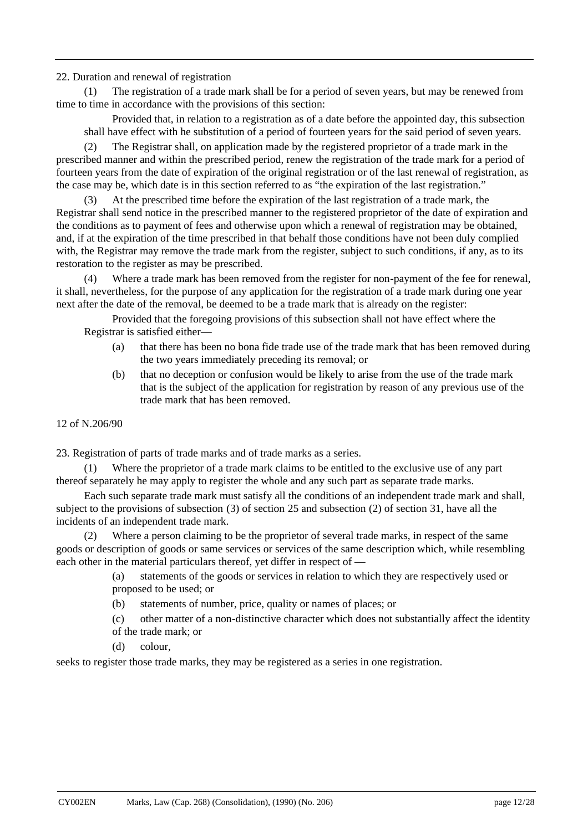22. Duration and renewal of registration

(1) The registration of a trade mark shall be for a period of seven years, but may be renewed from time to time in accordance with the provisions of this section:

Provided that, in relation to a registration as of a date before the appointed day, this subsection shall have effect with he substitution of a period of fourteen years for the said period of seven years.

(2) The Registrar shall, on application made by the registered proprietor of a trade mark in the prescribed manner and within the prescribed period, renew the registration of the trade mark for a period of fourteen years from the date of expiration of the original registration or of the last renewal of registration, as the case may be, which date is in this section referred to as "the expiration of the last registration."

(3) At the prescribed time before the expiration of the last registration of a trade mark, the Registrar shall send notice in the prescribed manner to the registered proprietor of the date of expiration and the conditions as to payment of fees and otherwise upon which a renewal of registration may be obtained, and, if at the expiration of the time prescribed in that behalf those conditions have not been duly complied with, the Registrar may remove the trade mark from the register, subject to such conditions, if any, as to its restoration to the register as may be prescribed.

(4) Where a trade mark has been removed from the register for non-payment of the fee for renewal, it shall, nevertheless, for the purpose of any application for the registration of a trade mark during one year next after the date of the removal, be deemed to be a trade mark that is already on the register:

Provided that the foregoing provisions of this subsection shall not have effect where the Registrar is satisfied either—

- (a) that there has been no bona fide trade use of the trade mark that has been removed during the two years immediately preceding its removal; or
- (b) that no deception or confusion would be likely to arise from the use of the trade mark that is the subject of the application for registration by reason of any previous use of the trade mark that has been removed.

12 of N.206/90

23. Registration of parts of trade marks and of trade marks as a series.

(1) Where the proprietor of a trade mark claims to be entitled to the exclusive use of any part thereof separately he may apply to register the whole and any such part as separate trade marks.

Each such separate trade mark must satisfy all the conditions of an independent trade mark and shall, subject to the provisions of subsection (3) of section 25 and subsection (2) of section 31, have all the incidents of an independent trade mark.

(2) Where a person claiming to be the proprietor of several trade marks, in respect of the same goods or description of goods or same services or services of the same description which, while resembling each other in the material particulars thereof, yet differ in respect of —

> (a) statements of the goods or services in relation to which they are respectively used or proposed to be used; or

- (b) statements of number, price, quality or names of places; or
- (c) other matter of a non-distinctive character which does not substantially affect the identity of the trade mark; or
- $(d)$  colour

seeks to register those trade marks, they may be registered as a series in one registration.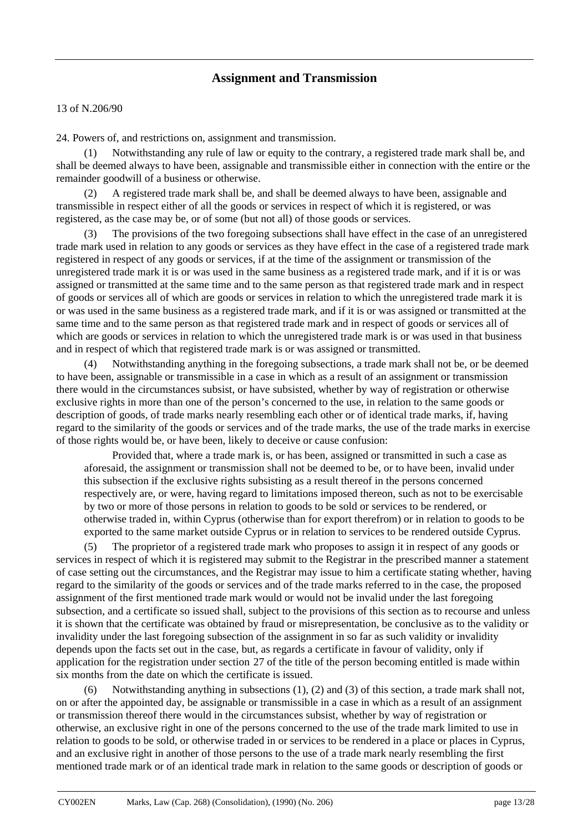# **Assignment and Transmission**

13 of N.206/90

24. Powers of, and restrictions on, assignment and transmission.

(1) Notwithstanding any rule of law or equity to the contrary, a registered trade mark shall be, and shall be deemed always to have been, assignable and transmissible either in connection with the entire or the remainder goodwill of a business or otherwise.

A registered trade mark shall be, and shall be deemed always to have been, assignable and transmissible in respect either of all the goods or services in respect of which it is registered, or was registered, as the case may be, or of some (but not all) of those goods or services.

(3) The provisions of the two foregoing subsections shall have effect in the case of an unregistered trade mark used in relation to any goods or services as they have effect in the case of a registered trade mark registered in respect of any goods or services, if at the time of the assignment or transmission of the unregistered trade mark it is or was used in the same business as a registered trade mark, and if it is or was assigned or transmitted at the same time and to the same person as that registered trade mark and in respect of goods or services all of which are goods or services in relation to which the unregistered trade mark it is or was used in the same business as a registered trade mark, and if it is or was assigned or transmitted at the same time and to the same person as that registered trade mark and in respect of goods or services all of which are goods or services in relation to which the unregistered trade mark is or was used in that business and in respect of which that registered trade mark is or was assigned or transmitted.

(4) Notwithstanding anything in the foregoing subsections, a trade mark shall not be, or be deemed to have been, assignable or transmissible in a case in which as a result of an assignment or transmission there would in the circumstances subsist, or have subsisted, whether by way of registration or otherwise exclusive rights in more than one of the person's concerned to the use, in relation to the same goods or description of goods, of trade marks nearly resembling each other or of identical trade marks, if, having regard to the similarity of the goods or services and of the trade marks, the use of the trade marks in exercise of those rights would be, or have been, likely to deceive or cause confusion:

Provided that, where a trade mark is, or has been, assigned or transmitted in such a case as aforesaid, the assignment or transmission shall not be deemed to be, or to have been, invalid under this subsection if the exclusive rights subsisting as a result thereof in the persons concerned respectively are, or were, having regard to limitations imposed thereon, such as not to be exercisable by two or more of those persons in relation to goods to be sold or services to be rendered, or otherwise traded in, within Cyprus (otherwise than for export therefrom) or in relation to goods to be exported to the same market outside Cyprus or in relation to services to be rendered outside Cyprus.

(5) The proprietor of a registered trade mark who proposes to assign it in respect of any goods or services in respect of which it is registered may submit to the Registrar in the prescribed manner a statement of case setting out the circumstances, and the Registrar may issue to him a certificate stating whether, having regard to the similarity of the goods or services and of the trade marks referred to in the case, the proposed assignment of the first mentioned trade mark would or would not be invalid under the last foregoing subsection, and a certificate so issued shall, subject to the provisions of this section as to recourse and unless it is shown that the certificate was obtained by fraud or misrepresentation, be conclusive as to the validity or invalidity under the last foregoing subsection of the assignment in so far as such validity or invalidity depends upon the facts set out in the case, but, as regards a certificate in favour of validity, only if application for the registration under section 27 of the title of the person becoming entitled is made within six months from the date on which the certificate is issued.

Notwithstanding anything in subsections  $(1)$ ,  $(2)$  and  $(3)$  of this section, a trade mark shall not, on or after the appointed day, be assignable or transmissible in a case in which as a result of an assignment or transmission thereof there would in the circumstances subsist, whether by way of registration or otherwise, an exclusive right in one of the persons concerned to the use of the trade mark limited to use in relation to goods to be sold, or otherwise traded in or services to be rendered in a place or places in Cyprus, and an exclusive right in another of those persons to the use of a trade mark nearly resembling the first mentioned trade mark or of an identical trade mark in relation to the same goods or description of goods or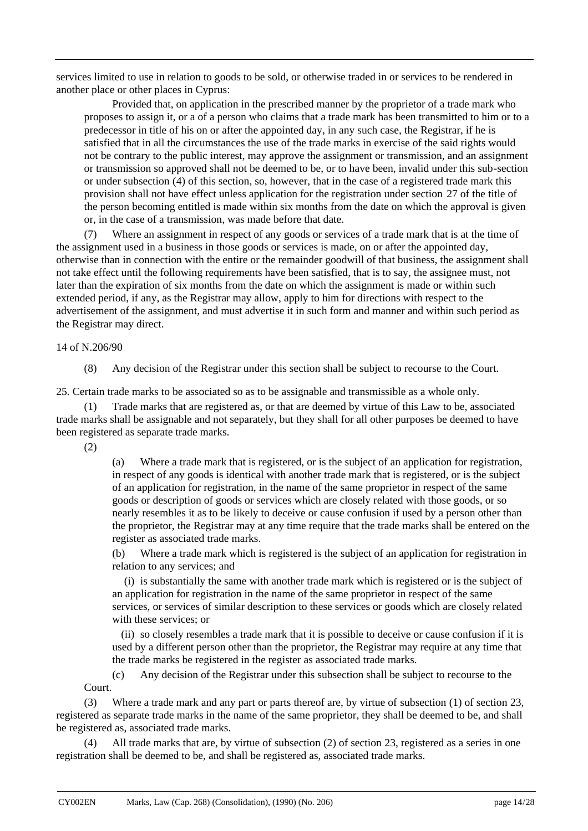services limited to use in relation to goods to be sold, or otherwise traded in or services to be rendered in another place or other places in Cyprus:

Provided that, on application in the prescribed manner by the proprietor of a trade mark who proposes to assign it, or a of a person who claims that a trade mark has been transmitted to him or to a predecessor in title of his on or after the appointed day, in any such case, the Registrar, if he is satisfied that in all the circumstances the use of the trade marks in exercise of the said rights would not be contrary to the public interest, may approve the assignment or transmission, and an assignment or transmission so approved shall not be deemed to be, or to have been, invalid under this sub-section or under subsection (4) of this section, so, however, that in the case of a registered trade mark this provision shall not have effect unless application for the registration under section 27 of the title of the person becoming entitled is made within six months from the date on which the approval is given or, in the case of a transmission, was made before that date.

(7) Where an assignment in respect of any goods or services of a trade mark that is at the time of the assignment used in a business in those goods or services is made, on or after the appointed day, otherwise than in connection with the entire or the remainder goodwill of that business, the assignment shall not take effect until the following requirements have been satisfied, that is to say, the assignee must, not later than the expiration of six months from the date on which the assignment is made or within such extended period, if any, as the Registrar may allow, apply to him for directions with respect to the advertisement of the assignment, and must advertise it in such form and manner and within such period as the Registrar may direct.

14 of N.206/90

(8) Any decision of the Registrar under this section shall be subject to recourse to the Court.

25. Certain trade marks to be associated so as to be assignable and transmissible as a whole only.

(1) Trade marks that are registered as, or that are deemed by virtue of this Law to be, associated trade marks shall be assignable and not separately, but they shall for all other purposes be deemed to have been registered as separate trade marks.

(2)

(a) Where a trade mark that is registered, or is the subject of an application for registration, in respect of any goods is identical with another trade mark that is registered, or is the subject of an application for registration, in the name of the same proprietor in respect of the same goods or description of goods or services which are closely related with those goods, or so nearly resembles it as to be likely to deceive or cause confusion if used by a person other than the proprietor, the Registrar may at any time require that the trade marks shall be entered on the register as associated trade marks.

(b) Where a trade mark which is registered is the subject of an application for registration in relation to any services; and

(i) is substantially the same with another trade mark which is registered or is the subject of an application for registration in the name of the same proprietor in respect of the same services, or services of similar description to these services or goods which are closely related with these services; or

(ii) so closely resembles a trade mark that it is possible to deceive or cause confusion if it is used by a different person other than the proprietor, the Registrar may require at any time that the trade marks be registered in the register as associated trade marks.

(c) Any decision of the Registrar under this subsection shall be subject to recourse to the Court.

(3) Where a trade mark and any part or parts thereof are, by virtue of subsection (1) of section 23, registered as separate trade marks in the name of the same proprietor, they shall be deemed to be, and shall be registered as, associated trade marks.

(4) All trade marks that are, by virtue of subsection (2) of section 23, registered as a series in one registration shall be deemed to be, and shall be registered as, associated trade marks.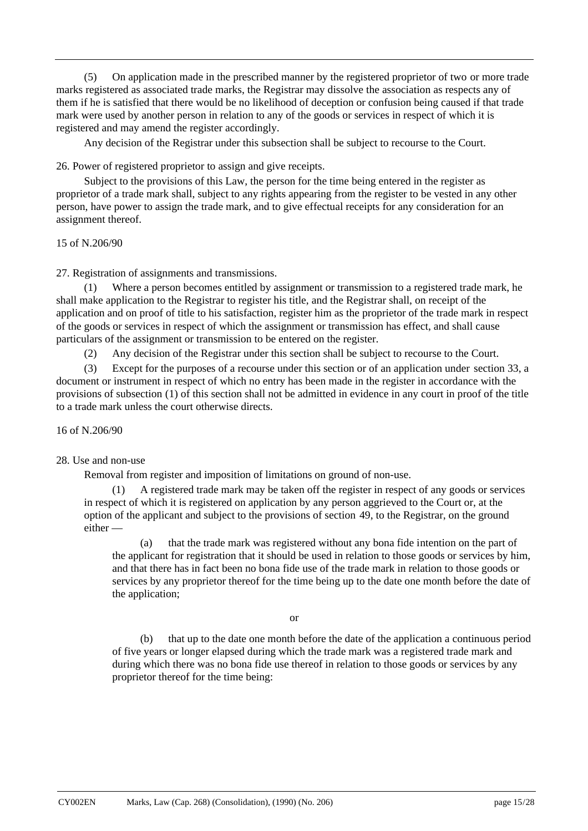(5) On application made in the prescribed manner by the registered proprietor of two or more trade marks registered as associated trade marks, the Registrar may dissolve the association as respects any of them if he is satisfied that there would be no likelihood of deception or confusion being caused if that trade mark were used by another person in relation to any of the goods or services in respect of which it is registered and may amend the register accordingly.

Any decision of the Registrar under this subsection shall be subject to recourse to the Court.

26. Power of registered proprietor to assign and give receipts.

Subject to the provisions of this Law, the person for the time being entered in the register as proprietor of a trade mark shall, subject to any rights appearing from the register to be vested in any other person, have power to assign the trade mark, and to give effectual receipts for any consideration for an assignment thereof.

15 of N.206/90

27. Registration of assignments and transmissions.

(1) Where a person becomes entitled by assignment or transmission to a registered trade mark, he shall make application to the Registrar to register his title, and the Registrar shall, on receipt of the application and on proof of title to his satisfaction, register him as the proprietor of the trade mark in respect of the goods or services in respect of which the assignment or transmission has effect, and shall cause particulars of the assignment or transmission to be entered on the register.

(2) Any decision of the Registrar under this section shall be subject to recourse to the Court.

(3) Except for the purposes of a recourse under this section or of an application under section 33, a document or instrument in respect of which no entry has been made in the register in accordance with the provisions of subsection (1) of this section shall not be admitted in evidence in any court in proof of the title to a trade mark unless the court otherwise directs.

16 of N.206/90

# 28. Use and non-use

Removal from register and imposition of limitations on ground of non-use.

A registered trade mark may be taken off the register in respect of any goods or services in respect of which it is registered on application by any person aggrieved to the Court or, at the option of the applicant and subject to the provisions of section 49, to the Registrar, on the ground either —

(a) that the trade mark was registered without any bona fide intention on the part of the applicant for registration that it should be used in relation to those goods or services by him, and that there has in fact been no bona fide use of the trade mark in relation to those goods or services by any proprietor thereof for the time being up to the date one month before the date of the application;

or

(b) that up to the date one month before the date of the application a continuous period of five years or longer elapsed during which the trade mark was a registered trade mark and during which there was no bona fide use thereof in relation to those goods or services by any proprietor thereof for the time being: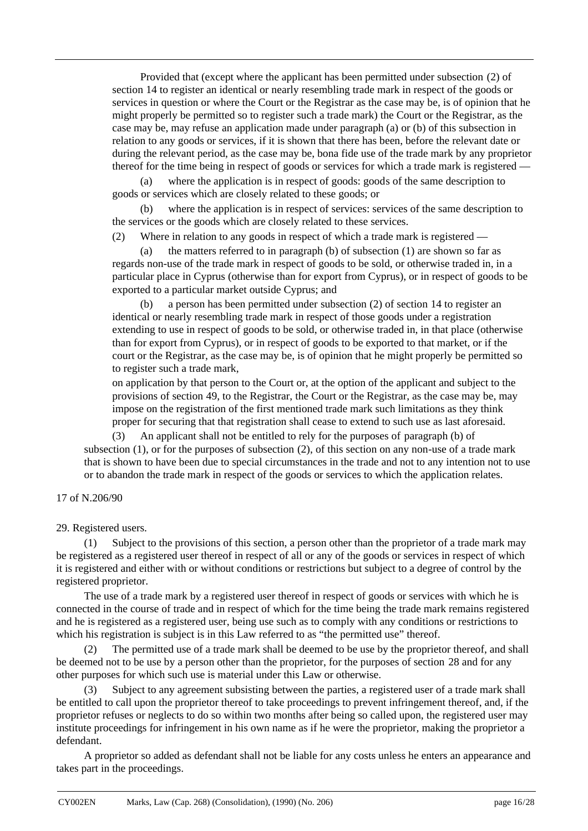Provided that (except where the applicant has been permitted under subsection (2) of section 14 to register an identical or nearly resembling trade mark in respect of the goods or services in question or where the Court or the Registrar as the case may be, is of opinion that he might properly be permitted so to register such a trade mark) the Court or the Registrar, as the case may be, may refuse an application made under paragraph (a) or (b) of this subsection in relation to any goods or services, if it is shown that there has been, before the relevant date or during the relevant period, as the case may be, bona fide use of the trade mark by any proprietor thereof for the time being in respect of goods or services for which a trade mark is registered —

(a) where the application is in respect of goods: goods of the same description to goods or services which are closely related to these goods; or

(b) where the application is in respect of services: services of the same description to the services or the goods which are closely related to these services.

(2) Where in relation to any goods in respect of which a trade mark is registered —

(a) the matters referred to in paragraph (b) of subsection (1) are shown so far as regards non-use of the trade mark in respect of goods to be sold, or otherwise traded in, in a particular place in Cyprus (otherwise than for export from Cyprus), or in respect of goods to be exported to a particular market outside Cyprus; and

a person has been permitted under subsection  $(2)$  of section 14 to register an identical or nearly resembling trade mark in respect of those goods under a registration extending to use in respect of goods to be sold, or otherwise traded in, in that place (otherwise than for export from Cyprus), or in respect of goods to be exported to that market, or if the court or the Registrar, as the case may be, is of opinion that he might properly be permitted so to register such a trade mark,

on application by that person to the Court or, at the option of the applicant and subject to the provisions of section 49, to the Registrar, the Court or the Registrar, as the case may be, may impose on the registration of the first mentioned trade mark such limitations as they think proper for securing that that registration shall cease to extend to such use as last aforesaid.

(3) An applicant shall not be entitled to rely for the purposes of paragraph (b) of subsection (1), or for the purposes of subsection (2), of this section on any non-use of a trade mark that is shown to have been due to special circumstances in the trade and not to any intention not to use or to abandon the trade mark in respect of the goods or services to which the application relates.

## 17 of N.206/90

## 29. Registered users.

(1) Subject to the provisions of this section, a person other than the proprietor of a trade mark may be registered as a registered user thereof in respect of all or any of the goods or services in respect of which it is registered and either with or without conditions or restrictions but subject to a degree of control by the registered proprietor.

The use of a trade mark by a registered user thereof in respect of goods or services with which he is connected in the course of trade and in respect of which for the time being the trade mark remains registered and he is registered as a registered user, being use such as to comply with any conditions or restrictions to which his registration is subject is in this Law referred to as "the permitted use" thereof.

(2) The permitted use of a trade mark shall be deemed to be use by the proprietor thereof, and shall be deemed not to be use by a person other than the proprietor, for the purposes of section 28 and for any other purposes for which such use is material under this Law or otherwise.

(3) Subject to any agreement subsisting between the parties, a registered user of a trade mark shall be entitled to call upon the proprietor thereof to take proceedings to prevent infringement thereof, and, if the proprietor refuses or neglects to do so within two months after being so called upon, the registered user may institute proceedings for infringement in his own name as if he were the proprietor, making the proprietor a defendant.

A proprietor so added as defendant shall not be liable for any costs unless he enters an appearance and takes part in the proceedings.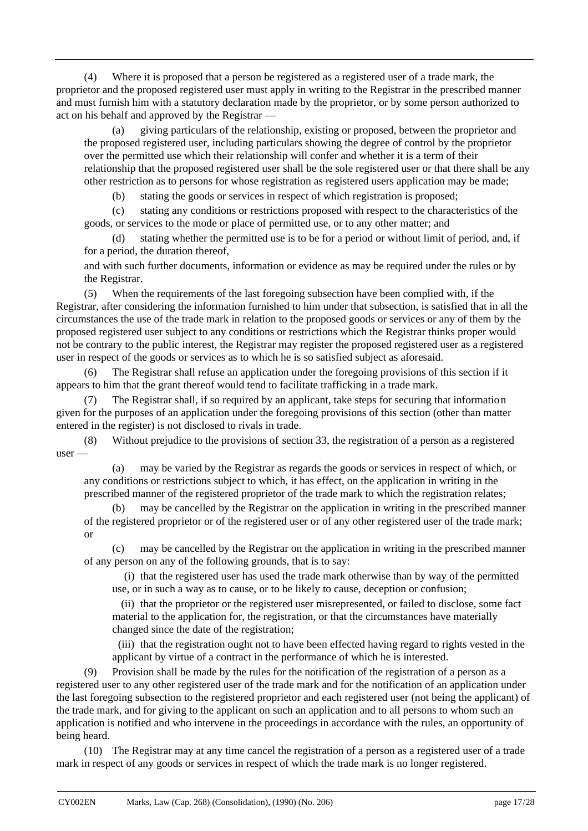(4) Where it is proposed that a person be registered as a registered user of a trade mark, the proprietor and the proposed registered user must apply in writing to the Registrar in the prescribed manner and must furnish him with a statutory declaration made by the proprietor, or by some person authorized to act on his behalf and approved by the Registrar —

(a) giving particulars of the relationship, existing or proposed, between the proprietor and the proposed registered user, including particulars showing the degree of control by the proprietor over the permitted use which their relationship will confer and whether it is a term of their relationship that the proposed registered user shall be the sole registered user or that there shall be any other restriction as to persons for whose registration as registered users application may be made;

(b) stating the goods or services in respect of which registration is proposed;

(c) stating any conditions or restrictions proposed with respect to the characteristics of the goods, or services to the mode or place of permitted use, or to any other matter; and

stating whether the permitted use is to be for a period or without limit of period, and, if for a period, the duration thereof,

and with such further documents, information or evidence as may be required under the rules or by the Registrar.

(5) When the requirements of the last foregoing subsection have been complied with, if the Registrar, after considering the information furnished to him under that subsection, is satisfied that in all the circumstances the use of the trade mark in relation to the proposed goods or services or any of them by the proposed registered user subject to any conditions or restrictions which the Registrar thinks proper would not be contrary to the public interest, the Registrar may register the proposed registered user as a registered user in respect of the goods or services as to which he is so satisfied subject as aforesaid.

(6) The Registrar shall refuse an application under the foregoing provisions of this section if it appears to him that the grant thereof would tend to facilitate trafficking in a trade mark.

(7) The Registrar shall, if so required by an applicant, take steps for securing that information given for the purposes of an application under the foregoing provisions of this section (other than matter entered in the register) is not disclosed to rivals in trade.

(8) Without prejudice to the provisions of section 33, the registration of a person as a registered user —

(a) may be varied by the Registrar as regards the goods or services in respect of which, or any conditions or restrictions subject to which, it has effect, on the application in writing in the prescribed manner of the registered proprietor of the trade mark to which the registration relates;

(b) may be cancelled by the Registrar on the application in writing in the prescribed manner of the registered proprietor or of the registered user or of any other registered user of the trade mark; or

(c) may be cancelled by the Registrar on the application in writing in the prescribed manner of any person on any of the following grounds, that is to say:

(i) that the registered user has used the trade mark otherwise than by way of the permitted use, or in such a way as to cause, or to be likely to cause, deception or confusion;

(ii) that the proprietor or the registered user misrepresented, or failed to disclose, some fact material to the application for, the registration, or that the circumstances have materially changed since the date of the registration;

(iii) that the registration ought not to have been effected having regard to rights vested in the applicant by virtue of a contract in the performance of which he is interested.

(9) Provision shall be made by the rules for the notification of the registration of a person as a registered user to any other registered user of the trade mark and for the notification of an application under the last foregoing subsection to the registered proprietor and each registered user (not being the applicant) of the trade mark, and for giving to the applicant on such an application and to all persons to whom such an application is notified and who intervene in the proceedings in accordance with the rules, an opportunity of being heard.

(10) The Registrar may at any time cancel the registration of a person as a registered user of a trade mark in respect of any goods or services in respect of which the trade mark is no longer registered.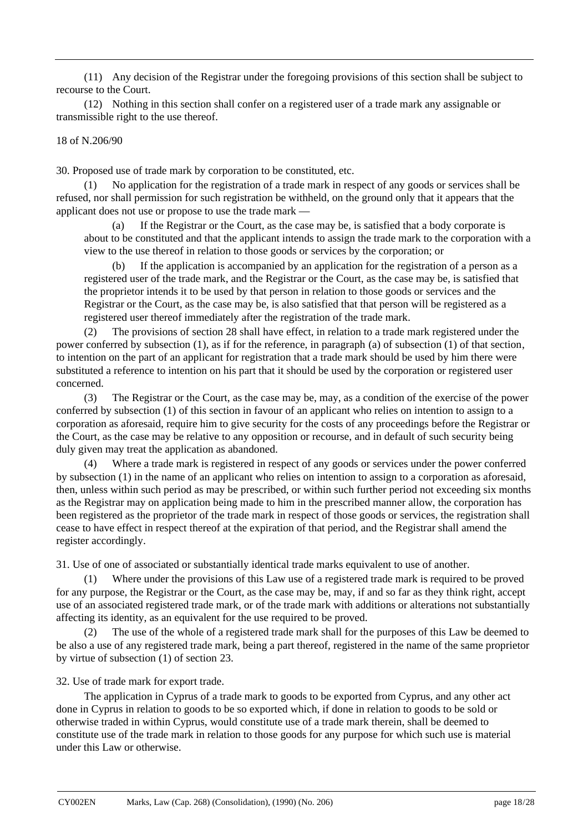(11) Any decision of the Registrar under the foregoing provisions of this section shall be subject to recourse to the Court.

(12) Nothing in this section shall confer on a registered user of a trade mark any assignable or transmissible right to the use thereof.

18 of N.206/90

30. Proposed use of trade mark by corporation to be constituted, etc.

(1) No application for the registration of a trade mark in respect of any goods or services shall be refused, nor shall permission for such registration be withheld, on the ground only that it appears that the applicant does not use or propose to use the trade mark —

(a) If the Registrar or the Court, as the case may be, is satisfied that a body corporate is about to be constituted and that the applicant intends to assign the trade mark to the corporation with a view to the use thereof in relation to those goods or services by the corporation; or

(b) If the application is accompanied by an application for the registration of a person as a registered user of the trade mark, and the Registrar or the Court, as the case may be, is satisfied that the proprietor intends it to be used by that person in relation to those goods or services and the Registrar or the Court, as the case may be, is also satisfied that that person will be registered as a registered user thereof immediately after the registration of the trade mark.

(2) The provisions of section 28 shall have effect, in relation to a trade mark registered under the power conferred by subsection (1), as if for the reference, in paragraph (a) of subsection (1) of that section, to intention on the part of an applicant for registration that a trade mark should be used by him there were substituted a reference to intention on his part that it should be used by the corporation or registered user concerned.

(3) The Registrar or the Court, as the case may be, may, as a condition of the exercise of the power conferred by subsection (1) of this section in favour of an applicant who relies on intention to assign to a corporation as aforesaid, require him to give security for the costs of any proceedings before the Registrar or the Court, as the case may be relative to any opposition or recourse, and in default of such security being duly given may treat the application as abandoned.

(4) Where a trade mark is registered in respect of any goods or services under the power conferred by subsection (1) in the name of an applicant who relies on intention to assign to a corporation as aforesaid, then, unless within such period as may be prescribed, or within such further period not exceeding six months as the Registrar may on application being made to him in the prescribed manner allow, the corporation has been registered as the proprietor of the trade mark in respect of those goods or services, the registration shall cease to have effect in respect thereof at the expiration of that period, and the Registrar shall amend the register accordingly.

31. Use of one of associated or substantially identical trade marks equivalent to use of another.

(1) Where under the provisions of this Law use of a registered trade mark is required to be proved for any purpose, the Registrar or the Court, as the case may be, may, if and so far as they think right, accept use of an associated registered trade mark, or of the trade mark with additions or alterations not substantially affecting its identity, as an equivalent for the use required to be proved.

(2) The use of the whole of a registered trade mark shall for the purposes of this Law be deemed to be also a use of any registered trade mark, being a part thereof, registered in the name of the same proprietor by virtue of subsection (1) of section 23.

32. Use of trade mark for export trade.

The application in Cyprus of a trade mark to goods to be exported from Cyprus, and any other act done in Cyprus in relation to goods to be so exported which, if done in relation to goods to be sold or otherwise traded in within Cyprus, would constitute use of a trade mark therein, shall be deemed to constitute use of the trade mark in relation to those goods for any purpose for which such use is material under this Law or otherwise.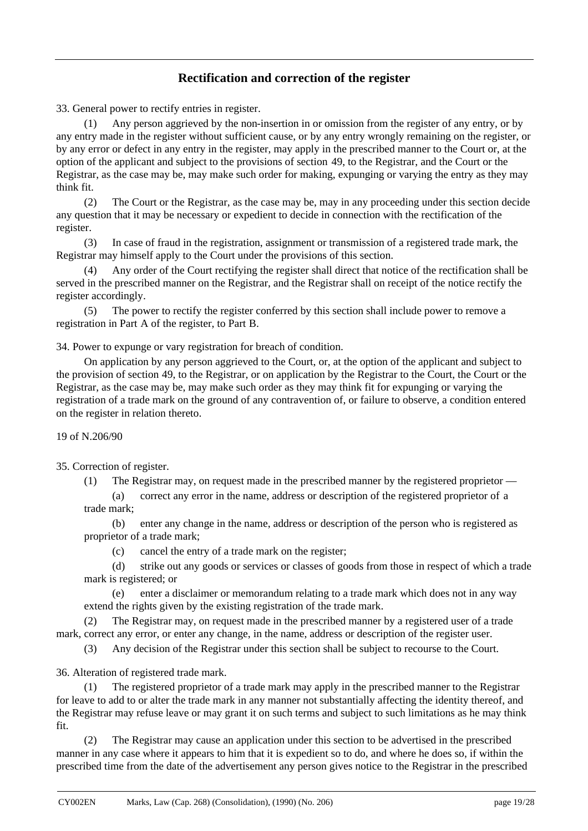# **Rectification and correction of the register**

33. General power to rectify entries in register.

(1) Any person aggrieved by the non-insertion in or omission from the register of any entry, or by any entry made in the register without sufficient cause, or by any entry wrongly remaining on the register, or by any error or defect in any entry in the register, may apply in the prescribed manner to the Court or, at the option of the applicant and subject to the provisions of section 49, to the Registrar, and the Court or the Registrar, as the case may be, may make such order for making, expunging or varying the entry as they may think fit.

(2) The Court or the Registrar, as the case may be, may in any proceeding under this section decide any question that it may be necessary or expedient to decide in connection with the rectification of the register.

(3) In case of fraud in the registration, assignment or transmission of a registered trade mark, the Registrar may himself apply to the Court under the provisions of this section.

(4) Any order of the Court rectifying the register shall direct that notice of the rectification shall be served in the prescribed manner on the Registrar, and the Registrar shall on receipt of the notice rectify the register accordingly.

(5) The power to rectify the register conferred by this section shall include power to remove a registration in Part A of the register, to Part B.

34. Power to expunge or vary registration for breach of condition.

On application by any person aggrieved to the Court, or, at the option of the applicant and subject to the provision of section 49, to the Registrar, or on application by the Registrar to the Court, the Court or the Registrar, as the case may be, may make such order as they may think fit for expunging or varying the registration of a trade mark on the ground of any contravention of, or failure to observe, a condition entered on the register in relation thereto.

19 of N.206/90

35. Correction of register.

(1) The Registrar may, on request made in the prescribed manner by the registered proprietor —

(a) correct any error in the name, address or description of the registered proprietor of a trade mark;

(b) enter any change in the name, address or description of the person who is registered as proprietor of a trade mark;

(c) cancel the entry of a trade mark on the register;

(d) strike out any goods or services or classes of goods from those in respect of which a trade mark is registered; or

(e) enter a disclaimer or memorandum relating to a trade mark which does not in any way extend the rights given by the existing registration of the trade mark.

(2) The Registrar may, on request made in the prescribed manner by a registered user of a trade mark, correct any error, or enter any change, in the name, address or description of the register user.

(3) Any decision of the Registrar under this section shall be subject to recourse to the Court.

36. Alteration of registered trade mark.

(1) The registered proprietor of a trade mark may apply in the prescribed manner to the Registrar for leave to add to or alter the trade mark in any manner not substantially affecting the identity thereof, and the Registrar may refuse leave or may grant it on such terms and subject to such limitations as he may think fit.

(2) The Registrar may cause an application under this section to be advertised in the prescribed manner in any case where it appears to him that it is expedient so to do, and where he does so, if within the prescribed time from the date of the advertisement any person gives notice to the Registrar in the prescribed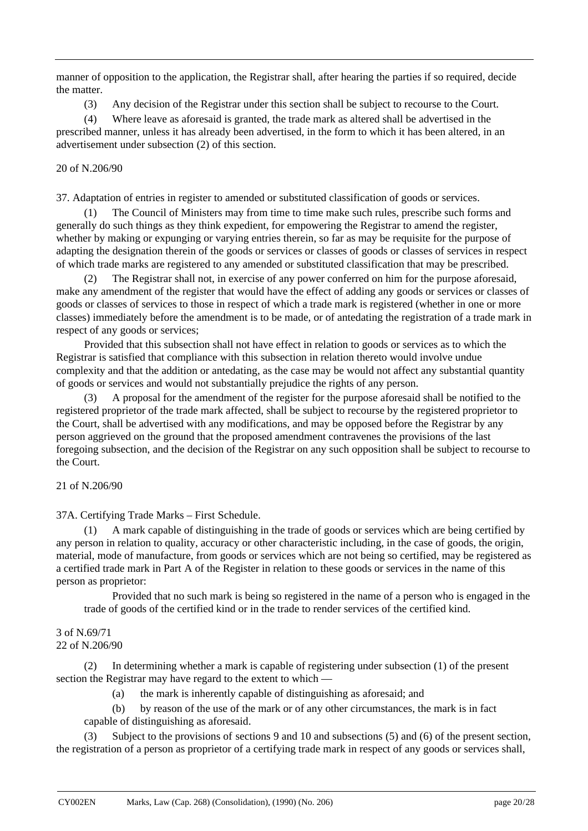manner of opposition to the application, the Registrar shall, after hearing the parties if so required, decide the matter.

(3) Any decision of the Registrar under this section shall be subject to recourse to the Court.

(4) Where leave as aforesaid is granted, the trade mark as altered shall be advertised in the prescribed manner, unless it has already been advertised, in the form to which it has been altered, in an advertisement under subsection (2) of this section.

# 20 of N.206/90

37. Adaptation of entries in register to amended or substituted classification of goods or services.

(1) The Council of Ministers may from time to time make such rules, prescribe such forms and generally do such things as they think expedient, for empowering the Registrar to amend the register, whether by making or expunging or varying entries therein, so far as may be requisite for the purpose of adapting the designation therein of the goods or services or classes of goods or classes of services in respect of which trade marks are registered to any amended or substituted classification that may be prescribed.

(2) The Registrar shall not, in exercise of any power conferred on him for the purpose aforesaid, make any amendment of the register that would have the effect of adding any goods or services or classes of goods or classes of services to those in respect of which a trade mark is registered (whether in one or more classes) immediately before the amendment is to be made, or of antedating the registration of a trade mark in respect of any goods or services;

Provided that this subsection shall not have effect in relation to goods or services as to which the Registrar is satisfied that compliance with this subsection in relation thereto would involve undue complexity and that the addition or antedating, as the case may be would not affect any substantial quantity of goods or services and would not substantially prejudice the rights of any person.

(3) A proposal for the amendment of the register for the purpose aforesaid shall be notified to the registered proprietor of the trade mark affected, shall be subject to recourse by the registered proprietor to the Court, shall be advertised with any modifications, and may be opposed before the Registrar by any person aggrieved on the ground that the proposed amendment contravenes the provisions of the last foregoing subsection, and the decision of the Registrar on any such opposition shall be subject to recourse to the Court.

# 21 of N.206/90

37A. Certifying Trade Marks – First Schedule.

(1) A mark capable of distinguishing in the trade of goods or services which are being certified by any person in relation to quality, accuracy or other characteristic including, in the case of goods, the origin, material, mode of manufacture, from goods or services which are not being so certified, may be registered as a certified trade mark in Part A of the Register in relation to these goods or services in the name of this person as proprietor:

Provided that no such mark is being so registered in the name of a person who is engaged in the trade of goods of the certified kind or in the trade to render services of the certified kind.

## 3 of N.69/71 22 of N.206/90

(2) In determining whether a mark is capable of registering under subsection (1) of the present section the Registrar may have regard to the extent to which —

(a) the mark is inherently capable of distinguishing as aforesaid; and

(b) by reason of the use of the mark or of any other circumstances, the mark is in fact capable of distinguishing as aforesaid.

(3) Subject to the provisions of sections 9 and 10 and subsections (5) and (6) of the present section, the registration of a person as proprietor of a certifying trade mark in respect of any goods or services shall,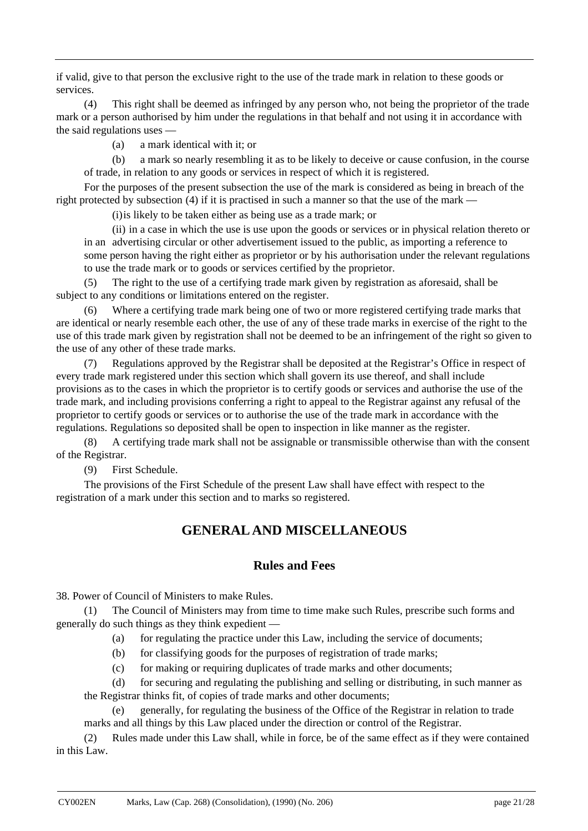if valid, give to that person the exclusive right to the use of the trade mark in relation to these goods or services.

(4) This right shall be deemed as infringed by any person who, not being the proprietor of the trade mark or a person authorised by him under the regulations in that behalf and not using it in accordance with the said regulations uses —

(a) a mark identical with it; or

(b) a mark so nearly resembling it as to be likely to deceive or cause confusion, in the course of trade, in relation to any goods or services in respect of which it is registered.

For the purposes of the present subsection the use of the mark is considered as being in breach of the right protected by subsection (4) if it is practised in such a manner so that the use of the mark —

(i)is likely to be taken either as being use as a trade mark; or

(ii) in a case in which the use is use upon the goods or services or in physical relation thereto or in an advertising circular or other advertisement issued to the public, as importing a reference to some person having the right either as proprietor or by his authorisation under the relevant regulations to use the trade mark or to goods or services certified by the proprietor.

(5) The right to the use of a certifying trade mark given by registration as aforesaid, shall be subject to any conditions or limitations entered on the register.

(6) Where a certifying trade mark being one of two or more registered certifying trade marks that are identical or nearly resemble each other, the use of any of these trade marks in exercise of the right to the use of this trade mark given by registration shall not be deemed to be an infringement of the right so given to the use of any other of these trade marks.

(7) Regulations approved by the Registrar shall be deposited at the Registrar's Office in respect of every trade mark registered under this section which shall govern its use thereof, and shall include provisions as to the cases in which the proprietor is to certify goods or services and authorise the use of the trade mark, and including provisions conferring a right to appeal to the Registrar against any refusal of the proprietor to certify goods or services or to authorise the use of the trade mark in accordance with the regulations. Regulations so deposited shall be open to inspection in like manner as the register.

(8) A certifying trade mark shall not be assignable or transmissible otherwise than with the consent of the Registrar.

(9) First Schedule.

The provisions of the First Schedule of the present Law shall have effect with respect to the registration of a mark under this section and to marks so registered.

# **GENERAL AND MISCELLANEOUS**

# **Rules and Fees**

38. Power of Council of Ministers to make Rules.

(1) The Council of Ministers may from time to time make such Rules, prescribe such forms and generally do such things as they think expedient —

- (a) for regulating the practice under this Law, including the service of documents;
- (b) for classifying goods for the purposes of registration of trade marks;
- (c) for making or requiring duplicates of trade marks and other documents;

(d) for securing and regulating the publishing and selling or distributing, in such manner as the Registrar thinks fit, of copies of trade marks and other documents;

(e) generally, for regulating the business of the Office of the Registrar in relation to trade marks and all things by this Law placed under the direction or control of the Registrar.

(2) Rules made under this Law shall, while in force, be of the same effect as if they were contained in this Law.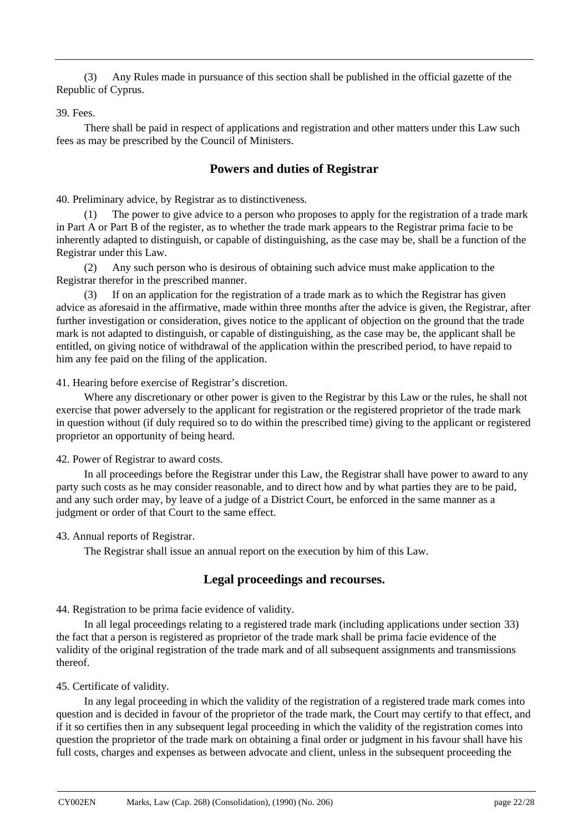(3) Any Rules made in pursuance of this section shall be published in the official gazette of the Republic of Cyprus.

## 39. Fees.

There shall be paid in respect of applications and registration and other matters under this Law such fees as may be prescribed by the Council of Ministers.

# **Powers and duties of Registrar**

40. Preliminary advice, by Registrar as to distinctiveness.

(1) The power to give advice to a person who proposes to apply for the registration of a trade mark in Part A or Part B of the register, as to whether the trade mark appears to the Registrar prima facie to be inherently adapted to distinguish, or capable of distinguishing, as the case may be, shall be a function of the Registrar under this Law.

(2) Any such person who is desirous of obtaining such advice must make application to the Registrar therefor in the prescribed manner.

(3) If on an application for the registration of a trade mark as to which the Registrar has given advice as aforesaid in the affirmative, made within three months after the advice is given, the Registrar, after further investigation or consideration, gives notice to the applicant of objection on the ground that the trade mark is not adapted to distinguish, or capable of distinguishing, as the case may be, the applicant shall be entitled, on giving notice of withdrawal of the application within the prescribed period, to have repaid to him any fee paid on the filing of the application.

41. Hearing before exercise of Registrar's discretion.

Where any discretionary or other power is given to the Registrar by this Law or the rules, he shall not exercise that power adversely to the applicant for registration or the registered proprietor of the trade mark in question without (if duly required so to do within the prescribed time) giving to the applicant or registered proprietor an opportunity of being heard.

42. Power of Registrar to award costs.

In all proceedings before the Registrar under this Law, the Registrar shall have power to award to any party such costs as he may consider reasonable, and to direct how and by what parties they are to be paid, and any such order may, by leave of a judge of a District Court, be enforced in the same manner as a judgment or order of that Court to the same effect.

# 43. Annual reports of Registrar.

The Registrar shall issue an annual report on the execution by him of this Law.

# **Legal proceedings and recourses.**

44. Registration to be prima facie evidence of validity.

In all legal proceedings relating to a registered trade mark (including applications under section 33) the fact that a person is registered as proprietor of the trade mark shall be prima facie evidence of the validity of the original registration of the trade mark and of all subsequent assignments and transmissions thereof.

## 45. Certificate of validity.

In any legal proceeding in which the validity of the registration of a registered trade mark comes into question and is decided in favour of the proprietor of the trade mark, the Court may certify to that effect, and if it so certifies then in any subsequent legal proceeding in which the validity of the registration comes into question the proprietor of the trade mark on obtaining a final order or judgment in his favour shall have his full costs, charges and expenses as between advocate and client, unless in the subsequent proceeding the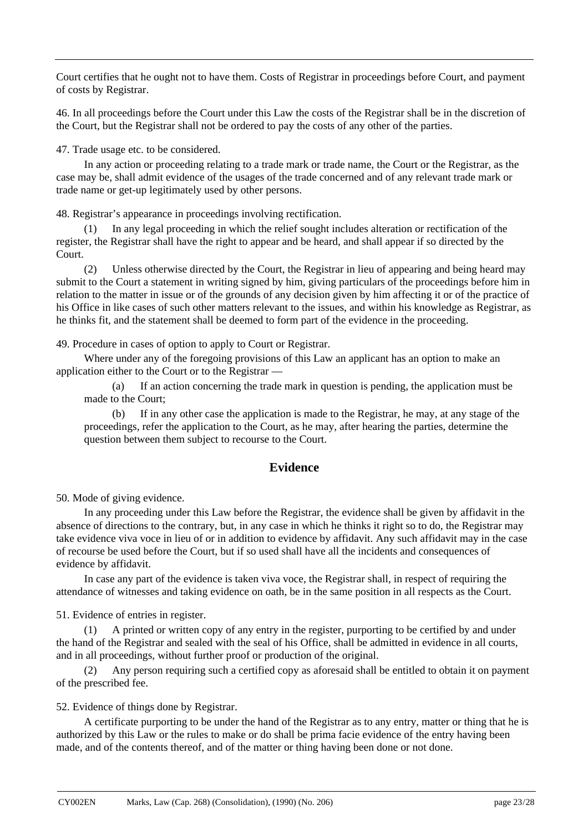Court certifies that he ought not to have them. Costs of Registrar in proceedings before Court, and payment of costs by Registrar.

46. In all proceedings before the Court under this Law the costs of the Registrar shall be in the discretion of the Court, but the Registrar shall not be ordered to pay the costs of any other of the parties.

47. Trade usage etc. to be considered.

In any action or proceeding relating to a trade mark or trade name, the Court or the Registrar, as the case may be, shall admit evidence of the usages of the trade concerned and of any relevant trade mark or trade name or get-up legitimately used by other persons.

48. Registrar's appearance in proceedings involving rectification.

(1) In any legal proceeding in which the relief sought includes alteration or rectification of the register, the Registrar shall have the right to appear and be heard, and shall appear if so directed by the Court.

(2) Unless otherwise directed by the Court, the Registrar in lieu of appearing and being heard may submit to the Court a statement in writing signed by him, giving particulars of the proceedings before him in relation to the matter in issue or of the grounds of any decision given by him affecting it or of the practice of his Office in like cases of such other matters relevant to the issues, and within his knowledge as Registrar, as he thinks fit, and the statement shall be deemed to form part of the evidence in the proceeding.

49. Procedure in cases of option to apply to Court or Registrar.

Where under any of the foregoing provisions of this Law an applicant has an option to make an application either to the Court or to the Registrar —

(a) If an action concerning the trade mark in question is pending, the application must be made to the Court;

(b) If in any other case the application is made to the Registrar, he may, at any stage of the proceedings, refer the application to the Court, as he may, after hearing the parties, determine the question between them subject to recourse to the Court.

# **Evidence**

50. Mode of giving evidence.

In any proceeding under this Law before the Registrar, the evidence shall be given by affidavit in the absence of directions to the contrary, but, in any case in which he thinks it right so to do, the Registrar may take evidence viva voce in lieu of or in addition to evidence by affidavit. Any such affidavit may in the case of recourse be used before the Court, but if so used shall have all the incidents and consequences of evidence by affidavit.

In case any part of the evidence is taken viva voce, the Registrar shall, in respect of requiring the attendance of witnesses and taking evidence on oath, be in the same position in all respects as the Court.

51. Evidence of entries in register.

(1) A printed or written copy of any entry in the register, purporting to be certified by and under the hand of the Registrar and sealed with the seal of his Office, shall be admitted in evidence in all courts, and in all proceedings, without further proof or production of the original.

(2) Any person requiring such a certified copy as aforesaid shall be entitled to obtain it on payment of the prescribed fee.

52. Evidence of things done by Registrar.

A certificate purporting to be under the hand of the Registrar as to any entry, matter or thing that he is authorized by this Law or the rules to make or do shall be prima facie evidence of the entry having been made, and of the contents thereof, and of the matter or thing having been done or not done.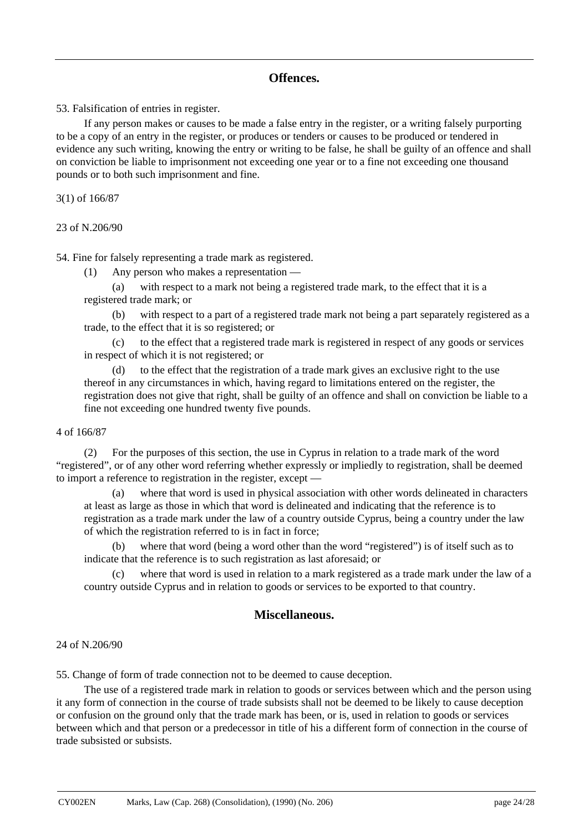# **Offences.**

53. Falsification of entries in register.

If any person makes or causes to be made a false entry in the register, or a writing falsely purporting to be a copy of an entry in the register, or produces or tenders or causes to be produced or tendered in evidence any such writing, knowing the entry or writing to be false, he shall be guilty of an offence and shall on conviction be liable to imprisonment not exceeding one year or to a fine not exceeding one thousand pounds or to both such imprisonment and fine.

3(1) of 166/87

23 of N.206/90

54. Fine for falsely representing a trade mark as registered.

(1) Any person who makes a representation —

(a) with respect to a mark not being a registered trade mark, to the effect that it is a registered trade mark; or

(b) with respect to a part of a registered trade mark not being a part separately registered as a trade, to the effect that it is so registered; or

(c) to the effect that a registered trade mark is registered in respect of any goods or services in respect of which it is not registered; or

(d) to the effect that the registration of a trade mark gives an exclusive right to the use thereof in any circumstances in which, having regard to limitations entered on the register, the registration does not give that right, shall be guilty of an offence and shall on conviction be liable to a fine not exceeding one hundred twenty five pounds.

## 4 of 166/87

(2) For the purposes of this section, the use in Cyprus in relation to a trade mark of the word "registered", or of any other word referring whether expressly or impliedly to registration, shall be deemed to import a reference to registration in the register, except —

(a) where that word is used in physical association with other words delineated in characters at least as large as those in which that word is delineated and indicating that the reference is to registration as a trade mark under the law of a country outside Cyprus, being a country under the law of which the registration referred to is in fact in force;

(b) where that word (being a word other than the word "registered") is of itself such as to indicate that the reference is to such registration as last aforesaid; or

(c) where that word is used in relation to a mark registered as a trade mark under the law of a country outside Cyprus and in relation to goods or services to be exported to that country.

# **Miscellaneous.**

## 24 of N.206/90

55. Change of form of trade connection not to be deemed to cause deception.

The use of a registered trade mark in relation to goods or services between which and the person using it any form of connection in the course of trade subsists shall not be deemed to be likely to cause deception or confusion on the ground only that the trade mark has been, or is, used in relation to goods or services between which and that person or a predecessor in title of his a different form of connection in the course of trade subsisted or subsists.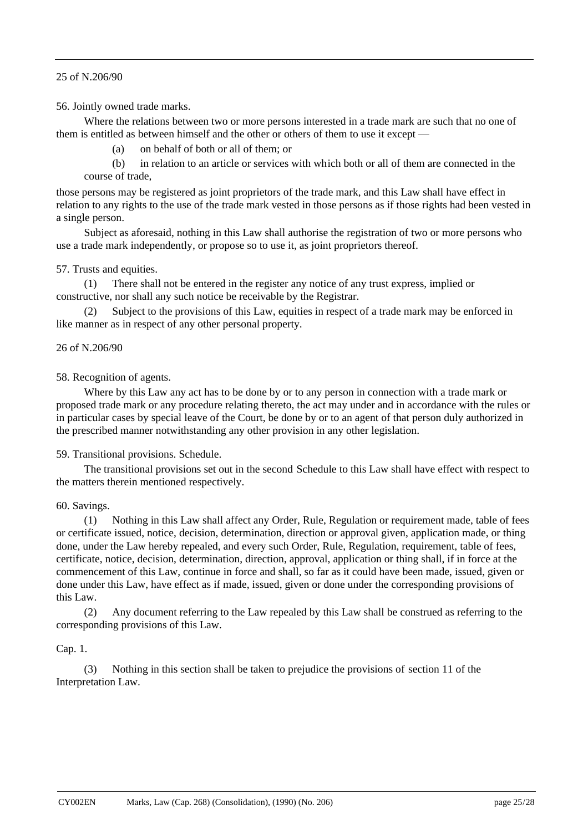## 25 of N.206/90

## 56. Jointly owned trade marks.

Where the relations between two or more persons interested in a trade mark are such that no one of them is entitled as between himself and the other or others of them to use it except —

(a) on behalf of both or all of them; or

(b) in relation to an article or services with which both or all of them are connected in the course of trade,

those persons may be registered as joint proprietors of the trade mark, and this Law shall have effect in relation to any rights to the use of the trade mark vested in those persons as if those rights had been vested in a single person.

Subject as aforesaid, nothing in this Law shall authorise the registration of two or more persons who use a trade mark independently, or propose so to use it, as joint proprietors thereof.

## 57. Trusts and equities.

(1) There shall not be entered in the register any notice of any trust express, implied or constructive, nor shall any such notice be receivable by the Registrar.

(2) Subject to the provisions of this Law, equities in respect of a trade mark may be enforced in like manner as in respect of any other personal property.

## 26 of N.206/90

## 58. Recognition of agents.

Where by this Law any act has to be done by or to any person in connection with a trade mark or proposed trade mark or any procedure relating thereto, the act may under and in accordance with the rules or in particular cases by special leave of the Court, be done by or to an agent of that person duly authorized in the prescribed manner notwithstanding any other provision in any other legislation.

## 59. Transitional provisions. Schedule.

The transitional provisions set out in the second Schedule to this Law shall have effect with respect to the matters therein mentioned respectively.

## 60. Savings.

(1) Nothing in this Law shall affect any Order, Rule, Regulation or requirement made, table of fees or certificate issued, notice, decision, determination, direction or approval given, application made, or thing done, under the Law hereby repealed, and every such Order, Rule, Regulation, requirement, table of fees, certificate, notice, decision, determination, direction, approval, application or thing shall, if in force at the commencement of this Law, continue in force and shall, so far as it could have been made, issued, given or done under this Law, have effect as if made, issued, given or done under the corresponding provisions of this Law.

(2) Any document referring to the Law repealed by this Law shall be construed as referring to the corresponding provisions of this Law.

# Cap. 1.

(3) Nothing in this section shall be taken to prejudice the provisions of section 11 of the Interpretation Law.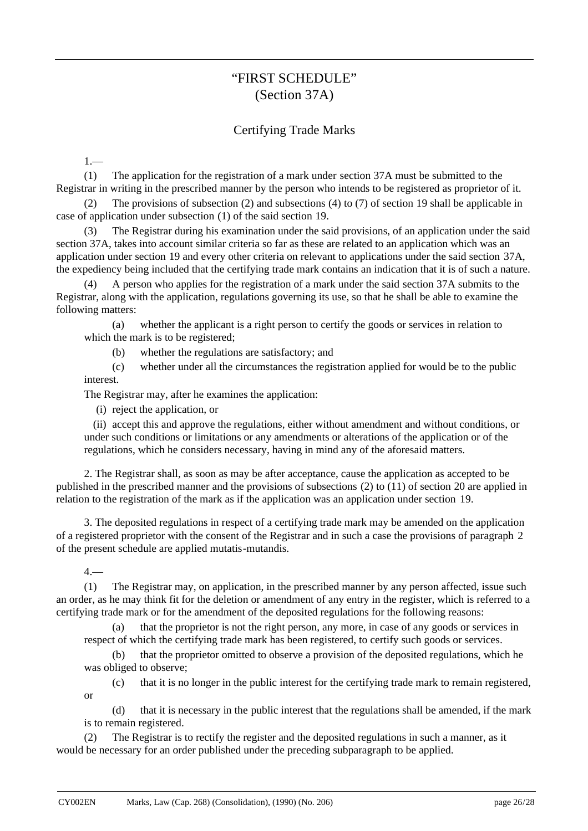# "FIRST SCHEDULE" (Section 37A)

# Certifying Trade Marks

 $1 -$ 

(1) The application for the registration of a mark under section 37A must be submitted to the Registrar in writing in the prescribed manner by the person who intends to be registered as proprietor of it.

(2) The provisions of subsection (2) and subsections (4) to (7) of section 19 shall be applicable in case of application under subsection (1) of the said section 19.

(3) The Registrar during his examination under the said provisions, of an application under the said section 37A, takes into account similar criteria so far as these are related to an application which was an application under section 19 and every other criteria on relevant to applications under the said section 37A, the expediency being included that the certifying trade mark contains an indication that it is of such a nature.

(4) A person who applies for the registration of a mark under the said section 37A submits to the Registrar, along with the application, regulations governing its use, so that he shall be able to examine the following matters:

(a) whether the applicant is a right person to certify the goods or services in relation to which the mark is to be registered;

(b) whether the regulations are satisfactory; and

(c) whether under all the circumstances the registration applied for would be to the public interest.

The Registrar may, after he examines the application:

(i) reject the application, or

(ii) accept this and approve the regulations, either without amendment and without conditions, or under such conditions or limitations or any amendments or alterations of the application or of the regulations, which he considers necessary, having in mind any of the aforesaid matters.

2. The Registrar shall, as soon as may be after acceptance, cause the application as accepted to be published in the prescribed manner and the provisions of subsections (2) to (11) of section 20 are applied in relation to the registration of the mark as if the application was an application under section 19.

3. The deposited regulations in respect of a certifying trade mark may be amended on the application of a registered proprietor with the consent of the Registrar and in such a case the provisions of paragraph 2 of the present schedule are applied mutatis-mutandis.

 $\overline{4}$  —

(1) The Registrar may, on application, in the prescribed manner by any person affected, issue such an order, as he may think fit for the deletion or amendment of any entry in the register, which is referred to a certifying trade mark or for the amendment of the deposited regulations for the following reasons:

(a) that the proprietor is not the right person, any more, in case of any goods or services in respect of which the certifying trade mark has been registered, to certify such goods or services.

(b) that the proprietor omitted to observe a provision of the deposited regulations, which he was obliged to observe;

(c) that it is no longer in the public interest for the certifying trade mark to remain registered, or

(d) that it is necessary in the public interest that the regulations shall be amended, if the mark is to remain registered.

(2) The Registrar is to rectify the register and the deposited regulations in such a manner, as it would be necessary for an order published under the preceding subparagraph to be applied.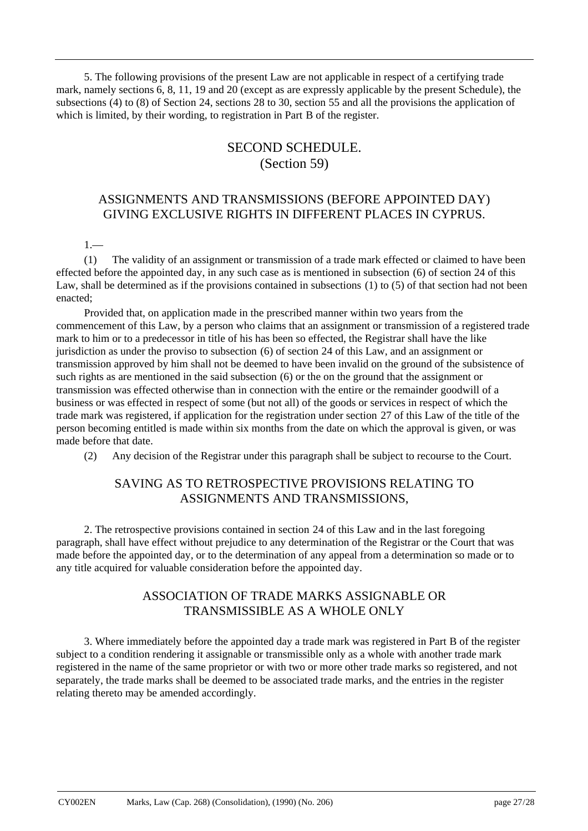5. The following provisions of the present Law are not applicable in respect of a certifying trade mark, namely sections 6, 8, 11, 19 and 20 (except as are expressly applicable by the present Schedule), the subsections (4) to (8) of Section 24, sections 28 to 30, section 55 and all the provisions the application of which is limited, by their wording, to registration in Part B of the register.

# SECOND SCHEDULE. (Section 59)

# ASSIGNMENTS AND TRANSMISSIONS (BEFORE APPOINTED DAY) GIVING EXCLUSIVE RIGHTS IN DIFFERENT PLACES IN CYPRUS.

1.—

(1) The validity of an assignment or transmission of a trade mark effected or claimed to have been effected before the appointed day, in any such case as is mentioned in subsection (6) of section 24 of this Law, shall be determined as if the provisions contained in subsections (1) to (5) of that section had not been enacted;

Provided that, on application made in the prescribed manner within two years from the commencement of this Law, by a person who claims that an assignment or transmission of a registered trade mark to him or to a predecessor in title of his has been so effected, the Registrar shall have the like jurisdiction as under the proviso to subsection (6) of section 24 of this Law, and an assignment or transmission approved by him shall not be deemed to have been invalid on the ground of the subsistence of such rights as are mentioned in the said subsection (6) or the on the ground that the assignment or transmission was effected otherwise than in connection with the entire or the remainder goodwill of a business or was effected in respect of some (but not all) of the goods or services in respect of which the trade mark was registered, if application for the registration under section 27 of this Law of the title of the person becoming entitled is made within six months from the date on which the approval is given, or was made before that date.

(2) Any decision of the Registrar under this paragraph shall be subject to recourse to the Court.

# SAVING AS TO RETROSPECTIVE PROVISIONS RELATING TO ASSIGNMENTS AND TRANSMISSIONS,

2. The retrospective provisions contained in section 24 of this Law and in the last foregoing paragraph, shall have effect without prejudice to any determination of the Registrar or the Court that was made before the appointed day, or to the determination of any appeal from a determination so made or to any title acquired for valuable consideration before the appointed day.

# ASSOCIATION OF TRADE MARKS ASSIGNABLE OR TRANSMISSIBLE AS A WHOLE ONLY

3. Where immediately before the appointed day a trade mark was registered in Part B of the register subject to a condition rendering it assignable or transmissible only as a whole with another trade mark registered in the name of the same proprietor or with two or more other trade marks so registered, and not separately, the trade marks shall be deemed to be associated trade marks, and the entries in the register relating thereto may be amended accordingly.